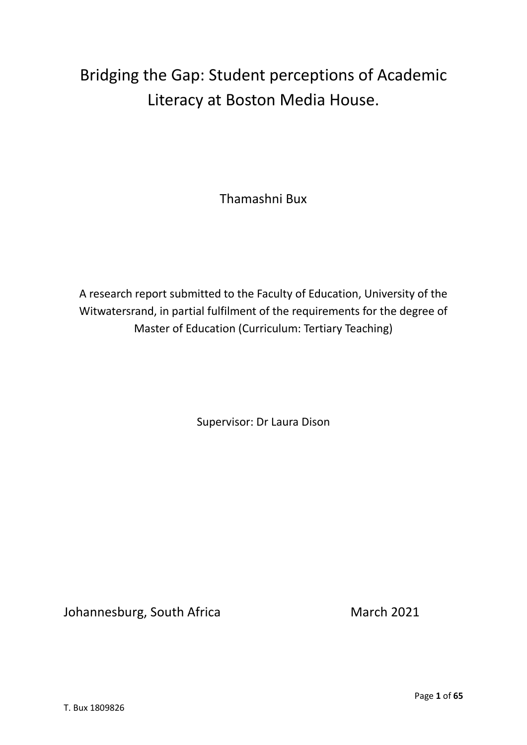# Bridging the Gap: Student perceptions of Academic Literacy at Boston Media House.

Thamashni Bux

A research report submitted to the Faculty of Education, University of the Witwatersrand, in partial fulfilment of the requirements for the degree of Master of Education (Curriculum: Tertiary Teaching)

Supervisor: Dr Laura Dison

Johannesburg, South Africa March 2021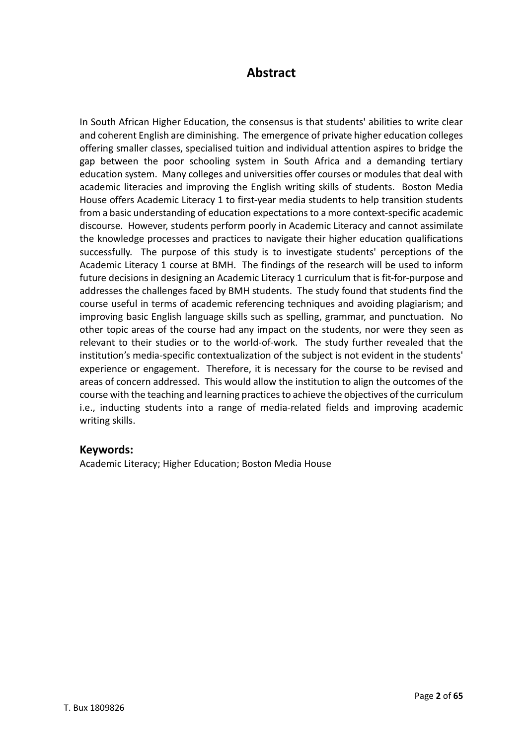## **Abstract**

In South African Higher Education, the consensus is that students' abilities to write clear and coherent English are diminishing. The emergence of private higher education colleges offering smaller classes, specialised tuition and individual attention aspires to bridge the gap between the poor schooling system in South Africa and a demanding tertiary education system. Many colleges and universities offer courses or modules that deal with academic literacies and improving the English writing skills of students. Boston Media House offers Academic Literacy 1 to first-year media students to help transition students from a basic understanding of education expectations to a more context-specific academic discourse. However, students perform poorly in Academic Literacy and cannot assimilate the knowledge processes and practices to navigate their higher education qualifications successfully. The purpose of this study is to investigate students' perceptions of the Academic Literacy 1 course at BMH. The findings of the research will be used to inform future decisions in designing an Academic Literacy 1 curriculum that is fit-for-purpose and addresses the challenges faced by BMH students. The study found that students find the course useful in terms of academic referencing techniques and avoiding plagiarism; and improving basic English language skills such as spelling, grammar, and punctuation. No other topic areas of the course had any impact on the students, nor were they seen as relevant to their studies or to the world-of-work. The study further revealed that the institution's media-specific contextualization of the subject is not evident in the students' experience or engagement. Therefore, it is necessary for the course to be revised and areas of concern addressed. This would allow the institution to align the outcomes of the course with the teaching and learning practices to achieve the objectives of the curriculum i.e., inducting students into a range of media-related fields and improving academic writing skills.

## **Keywords:**

Academic Literacy; Higher Education; Boston Media House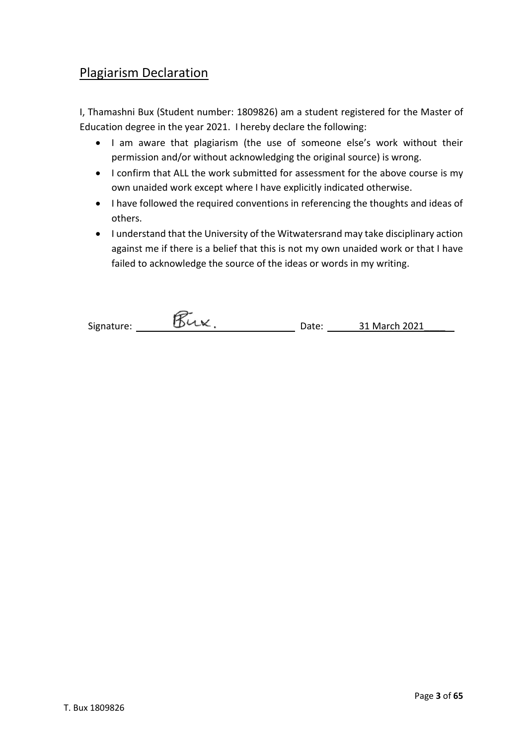# Plagiarism Declaration

I, Thamashni Bux (Student number: 1809826) am a student registered for the Master of Education degree in the year 2021. I hereby declare the following:

- I am aware that plagiarism (the use of someone else's work without their permission and/or without acknowledging the original source) is wrong.
- I confirm that ALL the work submitted for assessment for the above course is my own unaided work except where I have explicitly indicated otherwise.
- I have followed the required conventions in referencing the thoughts and ideas of others.
- I understand that the University of the Witwatersrand may take disciplinary action against me if there is a belief that this is not my own unaided work or that I have failed to acknowledge the source of the ideas or words in my writing.

| Signature: | Date: | 31 March 2021 |
|------------|-------|---------------|
|            |       |               |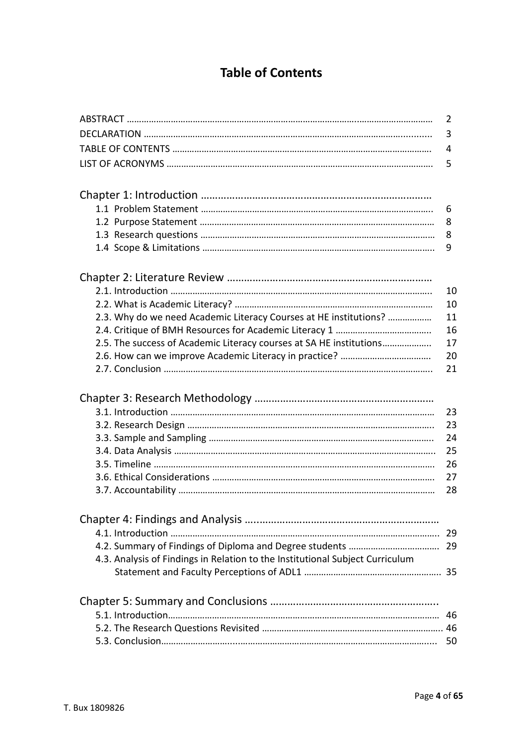# **Table of Contents**

|                                                                               | $\overline{2}$ |
|-------------------------------------------------------------------------------|----------------|
|                                                                               | 3              |
|                                                                               | 4              |
|                                                                               | 5              |
|                                                                               |                |
|                                                                               | 6              |
|                                                                               | 8              |
|                                                                               | 8              |
|                                                                               | 9              |
|                                                                               |                |
|                                                                               | 10             |
|                                                                               | 10             |
| 2.3. Why do we need Academic Literacy Courses at HE institutions?             | 11             |
|                                                                               | 16             |
| 2.5. The success of Academic Literacy courses at SA HE institutions           | 17             |
|                                                                               | 20             |
|                                                                               | 21             |
|                                                                               |                |
|                                                                               |                |
|                                                                               | 23             |
|                                                                               | 23             |
|                                                                               | 24             |
|                                                                               | 25             |
|                                                                               | 26             |
|                                                                               | 27             |
|                                                                               | 28             |
|                                                                               |                |
|                                                                               |                |
|                                                                               |                |
| 4.3. Analysis of Findings in Relation to the Institutional Subject Curriculum |                |
|                                                                               |                |
|                                                                               |                |
|                                                                               |                |
|                                                                               |                |
|                                                                               |                |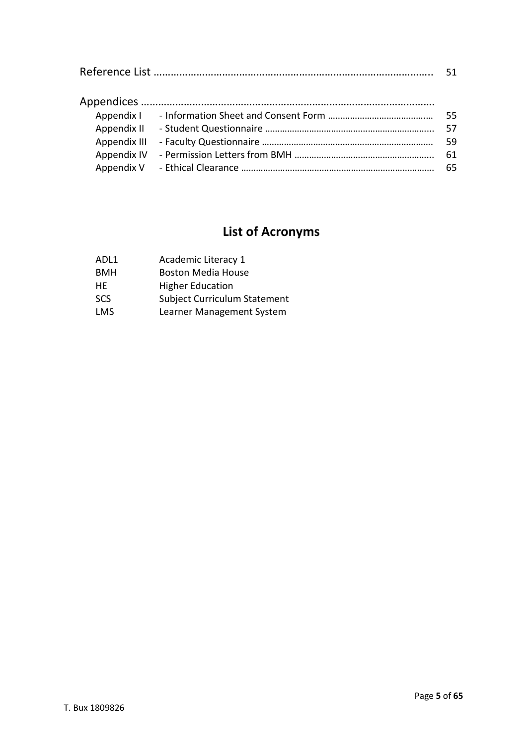|              | .55 |
|--------------|-----|
|              | .57 |
| Appendix III | 59  |
|              | 61  |
|              | 65  |

# **List of Acronyms**

| ADL1       | Academic Literacy 1          |
|------------|------------------------------|
| <b>BMH</b> | <b>Boston Media House</b>    |
| HE         | <b>Higher Education</b>      |
| <b>SCS</b> | Subject Curriculum Statement |
| <b>LMS</b> | Learner Management System    |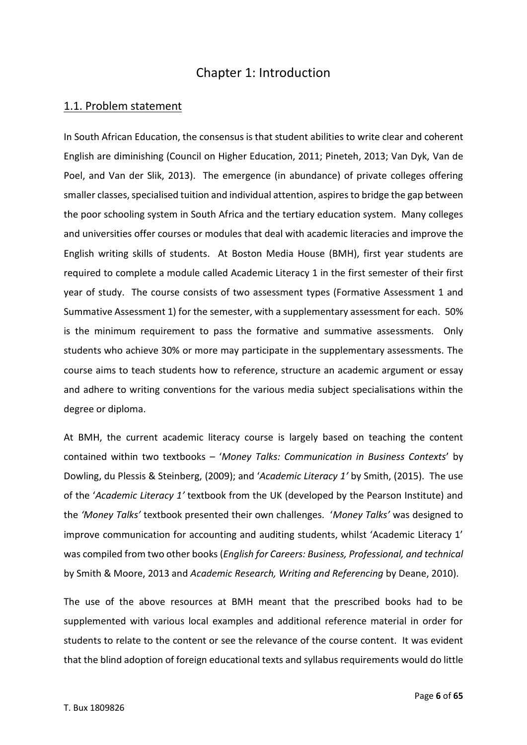## Chapter 1: Introduction

## 1.1. Problem statement

In South African Education, the consensus is that student abilities to write clear and coherent English are diminishing (Council on Higher Education, 2011; Pineteh, 2013; Van Dyk, Van de Poel, and Van der Slik, 2013). The emergence (in abundance) of private colleges offering smaller classes, specialised tuition and individual attention, aspiresto bridge the gap between the poor schooling system in South Africa and the tertiary education system. Many colleges and universities offer courses or modules that deal with academic literacies and improve the English writing skills of students. At Boston Media House (BMH), first year students are required to complete a module called Academic Literacy 1 in the first semester of their first year of study. The course consists of two assessment types (Formative Assessment 1 and Summative Assessment 1) for the semester, with a supplementary assessment for each. 50% is the minimum requirement to pass the formative and summative assessments. Only students who achieve 30% or more may participate in the supplementary assessments. The course aims to teach students how to reference, structure an academic argument or essay and adhere to writing conventions for the various media subject specialisations within the degree or diploma.

At BMH, the current academic literacy course is largely based on teaching the content contained within two textbooks – '*Money Talks: Communication in Business Contexts*' by Dowling, du Plessis & Steinberg, (2009); and '*Academic Literacy 1'* by Smith, (2015). The use of the '*Academic Literacy 1'* textbook from the UK (developed by the Pearson Institute) and the *'Money Talks'* textbook presented their own challenges. '*Money Talks'* was designed to improve communication for accounting and auditing students, whilst 'Academic Literacy 1' was compiled from two other books (*English for Careers: Business, Professional, and technical* by Smith & Moore, 2013 and *Academic Research, Writing and Referencing* by Deane, 2010).

The use of the above resources at BMH meant that the prescribed books had to be supplemented with various local examples and additional reference material in order for students to relate to the content or see the relevance of the course content. It was evident that the blind adoption of foreign educational texts and syllabus requirements would do little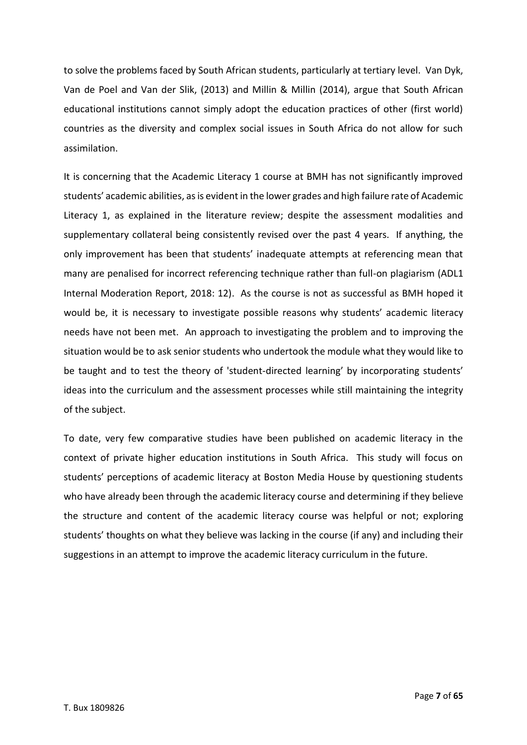to solve the problems faced by South African students, particularly at tertiary level. Van Dyk, Van de Poel and Van der Slik, (2013) and Millin & Millin (2014), argue that South African educational institutions cannot simply adopt the education practices of other (first world) countries as the diversity and complex social issues in South Africa do not allow for such assimilation.

It is concerning that the Academic Literacy 1 course at BMH has not significantly improved students' academic abilities, as is evident in the lower grades and high failure rate of Academic Literacy 1, as explained in the literature review; despite the assessment modalities and supplementary collateral being consistently revised over the past 4 years. If anything, the only improvement has been that students' inadequate attempts at referencing mean that many are penalised for incorrect referencing technique rather than full-on plagiarism (ADL1 Internal Moderation Report, 2018: 12). As the course is not as successful as BMH hoped it would be, it is necessary to investigate possible reasons why students' academic literacy needs have not been met. An approach to investigating the problem and to improving the situation would be to ask senior students who undertook the module what they would like to be taught and to test the theory of 'student-directed learning' by incorporating students' ideas into the curriculum and the assessment processes while still maintaining the integrity of the subject.

To date, very few comparative studies have been published on academic literacy in the context of private higher education institutions in South Africa. This study will focus on students' perceptions of academic literacy at Boston Media House by questioning students who have already been through the academic literacy course and determining if they believe the structure and content of the academic literacy course was helpful or not; exploring students' thoughts on what they believe was lacking in the course (if any) and including their suggestions in an attempt to improve the academic literacy curriculum in the future.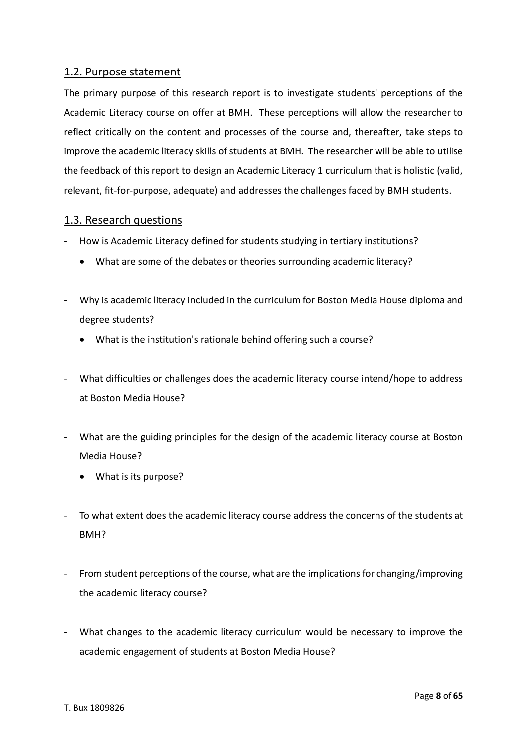## 1.2. Purpose statement

The primary purpose of this research report is to investigate students' perceptions of the Academic Literacy course on offer at BMH. These perceptions will allow the researcher to reflect critically on the content and processes of the course and, thereafter, take steps to improve the academic literacy skills of students at BMH. The researcher will be able to utilise the feedback of this report to design an Academic Literacy 1 curriculum that is holistic (valid, relevant, fit-for-purpose, adequate) and addresses the challenges faced by BMH students.

## 1.3. Research questions

- How is Academic Literacy defined for students studying in tertiary institutions?
	- What are some of the debates or theories surrounding academic literacy?
- Why is academic literacy included in the curriculum for Boston Media House diploma and degree students?
	- What is the institution's rationale behind offering such a course?
- What difficulties or challenges does the academic literacy course intend/hope to address at Boston Media House?
- What are the guiding principles for the design of the academic literacy course at Boston Media House?
	- What is its purpose?
- To what extent does the academic literacy course address the concerns of the students at BMH?
- From student perceptions of the course, what are the implications for changing/improving the academic literacy course?
- What changes to the academic literacy curriculum would be necessary to improve the academic engagement of students at Boston Media House?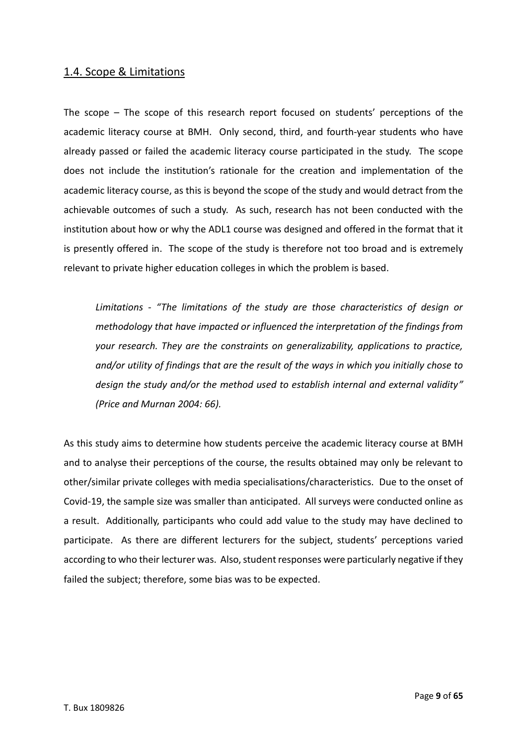## 1.4. Scope & Limitations

The scope – The scope of this research report focused on students' perceptions of the academic literacy course at BMH. Only second, third, and fourth-year students who have already passed or failed the academic literacy course participated in the study. The scope does not include the institution's rationale for the creation and implementation of the academic literacy course, as this is beyond the scope of the study and would detract from the achievable outcomes of such a study. As such, research has not been conducted with the institution about how or why the ADL1 course was designed and offered in the format that it is presently offered in. The scope of the study is therefore not too broad and is extremely relevant to private higher education colleges in which the problem is based.

*Limitations - "The limitations of the study are those characteristics of design or methodology that have impacted or influenced the interpretation of the findings from your research. They are the constraints on generalizability, applications to practice, and/or utility of findings that are the result of the ways in which you initially chose to design the study and/or the method used to establish internal and external validity" (Price and Murnan 2004: 66).* 

As this study aims to determine how students perceive the academic literacy course at BMH and to analyse their perceptions of the course, the results obtained may only be relevant to other/similar private colleges with media specialisations/characteristics. Due to the onset of Covid-19, the sample size was smaller than anticipated. All surveys were conducted online as a result. Additionally, participants who could add value to the study may have declined to participate. As there are different lecturers for the subject, students' perceptions varied according to who their lecturer was. Also, student responses were particularly negative if they failed the subject; therefore, some bias was to be expected.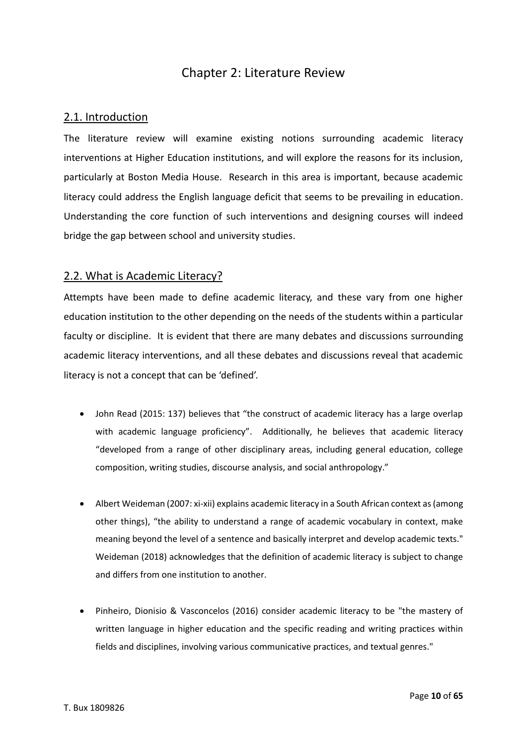## Chapter 2: Literature Review

## 2.1. Introduction

The literature review will examine existing notions surrounding academic literacy interventions at Higher Education institutions, and will explore the reasons for its inclusion, particularly at Boston Media House. Research in this area is important, because academic literacy could address the English language deficit that seems to be prevailing in education. Understanding the core function of such interventions and designing courses will indeed bridge the gap between school and university studies.

#### 2.2. What is Academic Literacy?

Attempts have been made to define academic literacy, and these vary from one higher education institution to the other depending on the needs of the students within a particular faculty or discipline. It is evident that there are many debates and discussions surrounding academic literacy interventions, and all these debates and discussions reveal that academic literacy is not a concept that can be 'defined'.

- John Read (2015: 137) believes that "the construct of academic literacy has a large overlap with academic language proficiency". Additionally, he believes that academic literacy "developed from a range of other disciplinary areas, including general education, college composition, writing studies, discourse analysis, and social anthropology."
- Albert Weideman (2007: xi-xii) explains academic literacy in a South African context as (among other things), "the ability to understand a range of academic vocabulary in context, make meaning beyond the level of a sentence and basically interpret and develop academic texts." Weideman (2018) acknowledges that the definition of academic literacy is subject to change and differs from one institution to another.
- Pinheiro, Dionisio & Vasconcelos (2016) consider academic literacy to be "the mastery of written language in higher education and the specific reading and writing practices within fields and disciplines, involving various communicative practices, and textual genres."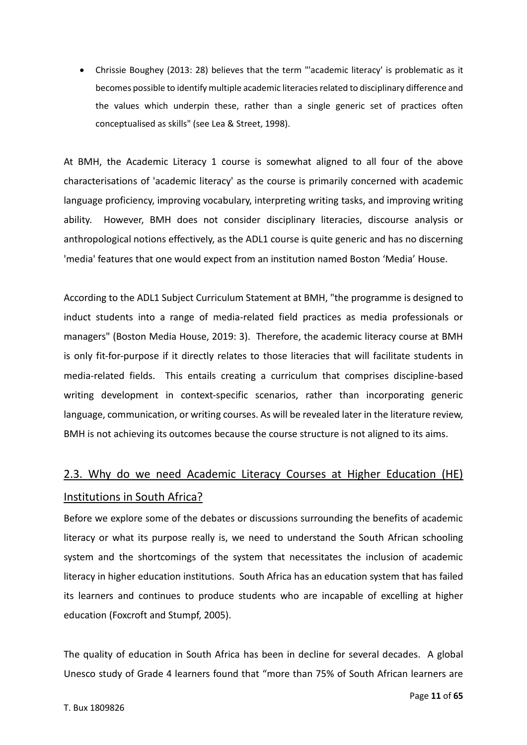• Chrissie Boughey (2013: 28) believes that the term "'academic literacy' is problematic as it becomes possible to identify multiple academic literacies related to disciplinary difference and the values which underpin these, rather than a single generic set of practices often conceptualised as skills" (see Lea & Street, 1998).

At BMH, the Academic Literacy 1 course is somewhat aligned to all four of the above characterisations of 'academic literacy' as the course is primarily concerned with academic language proficiency, improving vocabulary, interpreting writing tasks, and improving writing ability. However, BMH does not consider disciplinary literacies, discourse analysis or anthropological notions effectively, as the ADL1 course is quite generic and has no discerning 'media' features that one would expect from an institution named Boston 'Media' House.

According to the ADL1 Subject Curriculum Statement at BMH, "the programme is designed to induct students into a range of media-related field practices as media professionals or managers" (Boston Media House, 2019: 3). Therefore, the academic literacy course at BMH is only fit-for-purpose if it directly relates to those literacies that will facilitate students in media-related fields. This entails creating a curriculum that comprises discipline-based writing development in context-specific scenarios, rather than incorporating generic language, communication, or writing courses. As will be revealed later in the literature review, BMH is not achieving its outcomes because the course structure is not aligned to its aims.

# 2.3. Why do we need Academic Literacy Courses at Higher Education (HE) Institutions in South Africa?

Before we explore some of the debates or discussions surrounding the benefits of academic literacy or what its purpose really is, we need to understand the South African schooling system and the shortcomings of the system that necessitates the inclusion of academic literacy in higher education institutions. South Africa has an education system that has failed its learners and continues to produce students who are incapable of excelling at higher education (Foxcroft and Stumpf, 2005).

The quality of education in South Africa has been in decline for several decades. A global Unesco study of Grade 4 learners found that "more than 75% of South African learners are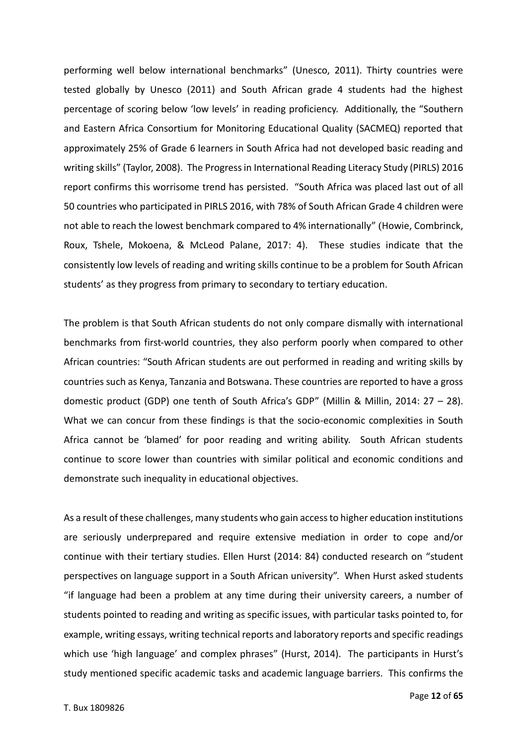performing well below international benchmarks" (Unesco, 2011). Thirty countries were tested globally by Unesco (2011) and South African grade 4 students had the highest percentage of scoring below 'low levels' in reading proficiency. Additionally, the "Southern and Eastern Africa Consortium for Monitoring Educational Quality (SACMEQ) reported that approximately 25% of Grade 6 learners in South Africa had not developed basic reading and writing skills" (Taylor, 2008). The Progress in International Reading Literacy Study (PIRLS) 2016 report confirms this worrisome trend has persisted. "South Africa was placed last out of all 50 countries who participated in PIRLS 2016, with 78% of South African Grade 4 children were not able to reach the lowest benchmark compared to 4% internationally" (Howie, Combrinck, Roux, Tshele, Mokoena, & McLeod Palane, 2017: 4). These studies indicate that the consistently low levels of reading and writing skills continue to be a problem for South African students' as they progress from primary to secondary to tertiary education.

The problem is that South African students do not only compare dismally with international benchmarks from first-world countries, they also perform poorly when compared to other African countries: "South African students are out performed in reading and writing skills by countries such as Kenya, Tanzania and Botswana. These countries are reported to have a gross domestic product (GDP) one tenth of South Africa's GDP" (Millin & Millin, 2014: 27 – 28). What we can concur from these findings is that the socio-economic complexities in South Africa cannot be 'blamed' for poor reading and writing ability. South African students continue to score lower than countries with similar political and economic conditions and demonstrate such inequality in educational objectives.

As a result of these challenges, many students who gain access to higher education institutions are seriously underprepared and require extensive mediation in order to cope and/or continue with their tertiary studies. Ellen Hurst (2014: 84) conducted research on "student perspectives on language support in a South African university". When Hurst asked students "if language had been a problem at any time during their university careers, a number of students pointed to reading and writing as specific issues, with particular tasks pointed to, for example, writing essays, writing technical reports and laboratory reports and specific readings which use 'high language' and complex phrases" (Hurst, 2014). The participants in Hurst's study mentioned specific academic tasks and academic language barriers. This confirms the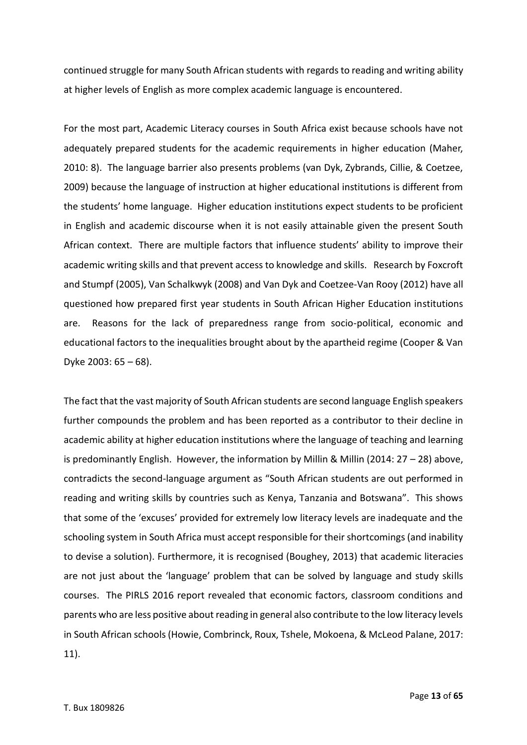continued struggle for many South African students with regards to reading and writing ability at higher levels of English as more complex academic language is encountered.

For the most part, Academic Literacy courses in South Africa exist because schools have not adequately prepared students for the academic requirements in higher education (Maher, 2010: 8). The language barrier also presents problems (van Dyk, Zybrands, Cillie, & Coetzee, 2009) because the language of instruction at higher educational institutions is different from the students' home language. Higher education institutions expect students to be proficient in English and academic discourse when it is not easily attainable given the present South African context. There are multiple factors that influence students' ability to improve their academic writing skills and that prevent access to knowledge and skills. Research by Foxcroft and Stumpf (2005), Van Schalkwyk (2008) and Van Dyk and Coetzee-Van Rooy (2012) have all questioned how prepared first year students in South African Higher Education institutions are. Reasons for the lack of preparedness range from socio-political, economic and educational factors to the inequalities brought about by the apartheid regime (Cooper & Van Dyke 2003: 65 – 68).

The fact that the vast majority of South African students are second language English speakers further compounds the problem and has been reported as a contributor to their decline in academic ability at higher education institutions where the language of teaching and learning is predominantly English. However, the information by Millin & Millin (2014:  $27 - 28$ ) above, contradicts the second-language argument as "South African students are out performed in reading and writing skills by countries such as Kenya, Tanzania and Botswana". This shows that some of the 'excuses' provided for extremely low literacy levels are inadequate and the schooling system in South Africa must accept responsible for their shortcomings (and inability to devise a solution). Furthermore, it is recognised (Boughey, 2013) that academic literacies are not just about the 'language' problem that can be solved by language and study skills courses. The PIRLS 2016 report revealed that economic factors, classroom conditions and parents who are less positive about reading in general also contribute to the low literacy levels in South African schools (Howie, Combrinck, Roux, Tshele, Mokoena, & McLeod Palane, 2017: 11).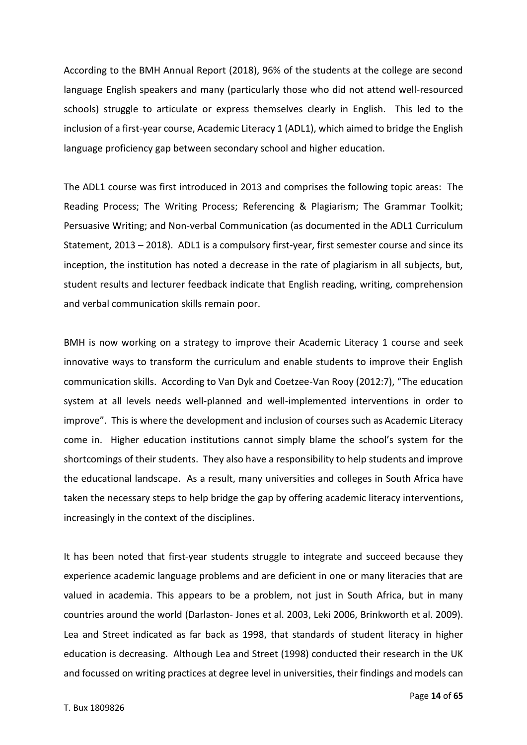According to the BMH Annual Report (2018), 96% of the students at the college are second language English speakers and many (particularly those who did not attend well-resourced schools) struggle to articulate or express themselves clearly in English. This led to the inclusion of a first-year course, Academic Literacy 1 (ADL1), which aimed to bridge the English language proficiency gap between secondary school and higher education.

The ADL1 course was first introduced in 2013 and comprises the following topic areas: The Reading Process; The Writing Process; Referencing & Plagiarism; The Grammar Toolkit; Persuasive Writing; and Non-verbal Communication (as documented in the ADL1 Curriculum Statement, 2013 – 2018). ADL1 is a compulsory first-year, first semester course and since its inception, the institution has noted a decrease in the rate of plagiarism in all subjects, but, student results and lecturer feedback indicate that English reading, writing, comprehension and verbal communication skills remain poor.

BMH is now working on a strategy to improve their Academic Literacy 1 course and seek innovative ways to transform the curriculum and enable students to improve their English communication skills. According to Van Dyk and Coetzee-Van Rooy (2012:7), "The education system at all levels needs well-planned and well-implemented interventions in order to improve". This is where the development and inclusion of courses such as Academic Literacy come in. Higher education institutions cannot simply blame the school's system for the shortcomings of their students. They also have a responsibility to help students and improve the educational landscape. As a result, many universities and colleges in South Africa have taken the necessary steps to help bridge the gap by offering academic literacy interventions, increasingly in the context of the disciplines.

It has been noted that first-year students struggle to integrate and succeed because they experience academic language problems and are deficient in one or many literacies that are valued in academia. This appears to be a problem, not just in South Africa, but in many countries around the world (Darlaston- Jones et al. 2003, Leki 2006, Brinkworth et al. 2009). Lea and Street indicated as far back as 1998, that standards of student literacy in higher education is decreasing. Although Lea and Street (1998) conducted their research in the UK and focussed on writing practices at degree level in universities, their findings and models can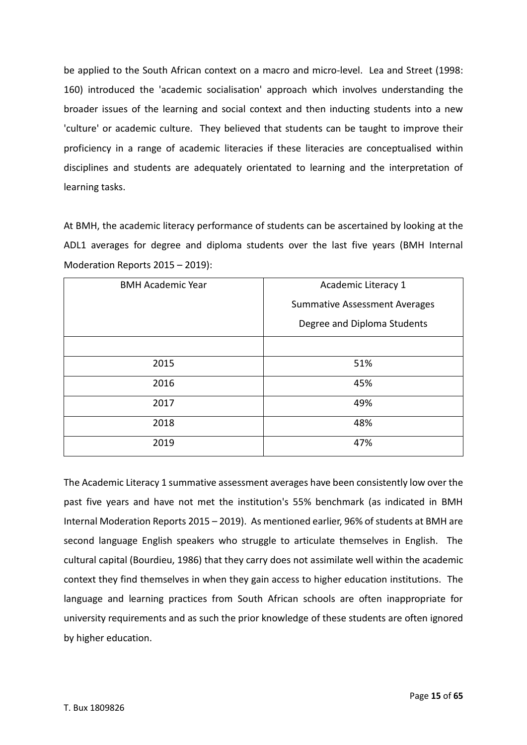be applied to the South African context on a macro and micro-level. Lea and Street (1998: 160) introduced the 'academic socialisation' approach which involves understanding the broader issues of the learning and social context and then inducting students into a new 'culture' or academic culture. They believed that students can be taught to improve their proficiency in a range of academic literacies if these literacies are conceptualised within disciplines and students are adequately orientated to learning and the interpretation of learning tasks.

At BMH, the academic literacy performance of students can be ascertained by looking at the ADL1 averages for degree and diploma students over the last five years (BMH Internal Moderation Reports 2015 – 2019):

| <b>BMH Academic Year</b> | Academic Literacy 1                  |
|--------------------------|--------------------------------------|
|                          | <b>Summative Assessment Averages</b> |
|                          | Degree and Diploma Students          |
|                          |                                      |
| 2015                     | 51%                                  |
| 2016                     | 45%                                  |
| 2017                     | 49%                                  |
| 2018                     | 48%                                  |
| 2019                     | 47%                                  |

The Academic Literacy 1 summative assessment averages have been consistently low over the past five years and have not met the institution's 55% benchmark (as indicated in BMH Internal Moderation Reports 2015 – 2019). As mentioned earlier, 96% of students at BMH are second language English speakers who struggle to articulate themselves in English. The cultural capital (Bourdieu, 1986) that they carry does not assimilate well within the academic context they find themselves in when they gain access to higher education institutions. The language and learning practices from South African schools are often inappropriate for university requirements and as such the prior knowledge of these students are often ignored by higher education.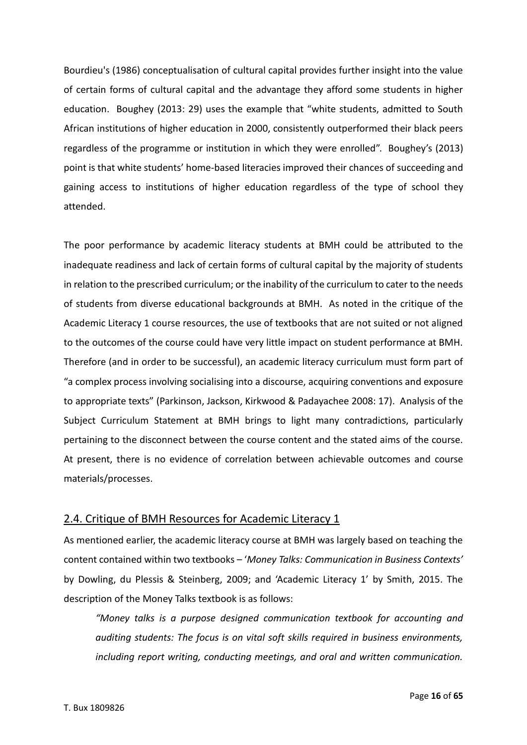Bourdieu's (1986) conceptualisation of cultural capital provides further insight into the value of certain forms of cultural capital and the advantage they afford some students in higher education. Boughey (2013: 29) uses the example that "white students, admitted to South African institutions of higher education in 2000, consistently outperformed their black peers regardless of the programme or institution in which they were enrolled". Boughey's (2013) point is that white students' home-based literacies improved their chances of succeeding and gaining access to institutions of higher education regardless of the type of school they attended.

The poor performance by academic literacy students at BMH could be attributed to the inadequate readiness and lack of certain forms of cultural capital by the majority of students in relation to the prescribed curriculum; or the inability of the curriculum to cater to the needs of students from diverse educational backgrounds at BMH. As noted in the critique of the Academic Literacy 1 course resources, the use of textbooks that are not suited or not aligned to the outcomes of the course could have very little impact on student performance at BMH. Therefore (and in order to be successful), an academic literacy curriculum must form part of "a complex process involving socialising into a discourse, acquiring conventions and exposure to appropriate texts" (Parkinson, Jackson, Kirkwood & Padayachee 2008: 17). Analysis of the Subject Curriculum Statement at BMH brings to light many contradictions, particularly pertaining to the disconnect between the course content and the stated aims of the course. At present, there is no evidence of correlation between achievable outcomes and course materials/processes.

## 2.4. Critique of BMH Resources for Academic Literacy 1

As mentioned earlier, the academic literacy course at BMH was largely based on teaching the content contained within two textbooks – '*Money Talks: Communication in Business Contexts'* by Dowling, du Plessis & Steinberg, 2009; and 'Academic Literacy 1' by Smith, 2015. The description of the Money Talks textbook is as follows:

*"Money talks is a purpose designed communication textbook for accounting and auditing students: The focus is on vital soft skills required in business environments, including report writing, conducting meetings, and oral and written communication.*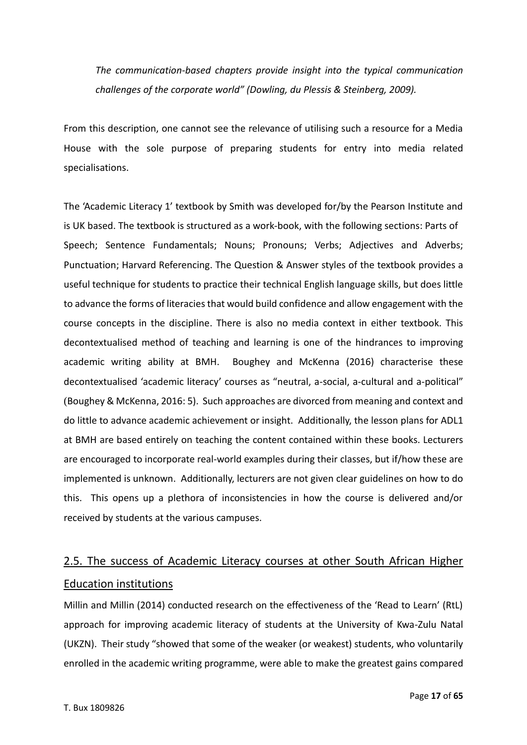*The communication-based chapters provide insight into the typical communication challenges of the corporate world" (Dowling, du Plessis & Steinberg, 2009).* 

From this description, one cannot see the relevance of utilising such a resource for a Media House with the sole purpose of preparing students for entry into media related specialisations.

The 'Academic Literacy 1' textbook by Smith was developed for/by the Pearson Institute and is UK based. The textbook is structured as a work-book, with the following sections: Parts of Speech; Sentence Fundamentals; Nouns; Pronouns; Verbs; Adjectives and Adverbs; Punctuation; Harvard Referencing. The Question & Answer styles of the textbook provides a useful technique for students to practice their technical English language skills, but does little to advance the forms of literacies that would build confidence and allow engagement with the course concepts in the discipline. There is also no media context in either textbook. This decontextualised method of teaching and learning is one of the hindrances to improving academic writing ability at BMH. Boughey and McKenna (2016) characterise these decontextualised 'academic literacy' courses as "neutral, a-social, a-cultural and a-political" (Boughey & McKenna, 2016: 5). Such approaches are divorced from meaning and context and do little to advance academic achievement or insight. Additionally, the lesson plans for ADL1 at BMH are based entirely on teaching the content contained within these books. Lecturers are encouraged to incorporate real-world examples during their classes, but if/how these are implemented is unknown. Additionally, lecturers are not given clear guidelines on how to do this. This opens up a plethora of inconsistencies in how the course is delivered and/or received by students at the various campuses.

# 2.5. The success of Academic Literacy courses at other South African Higher Education institutions

Millin and Millin (2014) conducted research on the effectiveness of the 'Read to Learn' (RtL) approach for improving academic literacy of students at the University of Kwa-Zulu Natal (UKZN). Their study "showed that some of the weaker (or weakest) students, who voluntarily enrolled in the academic writing programme, were able to make the greatest gains compared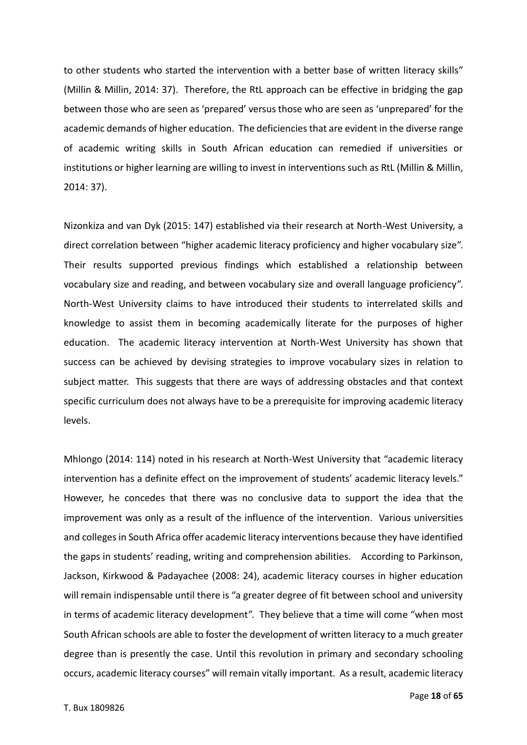to other students who started the intervention with a better base of written literacy skills" (Millin & Millin, 2014: 37). Therefore, the RtL approach can be effective in bridging the gap between those who are seen as 'prepared' versus those who are seen as 'unprepared' for the academic demands of higher education. The deficiencies that are evident in the diverse range of academic writing skills in South African education can remedied if universities or institutions or higher learning are willing to invest in interventions such as RtL (Millin & Millin, 2014: 37).

Nizonkiza and van Dyk (2015: 147) established via their research at North-West University, a direct correlation between "higher academic literacy proficiency and higher vocabulary size". Their results supported previous findings which established a relationship between vocabulary size and reading, and between vocabulary size and overall language proficiency". North-West University claims to have introduced their students to interrelated skills and knowledge to assist them in becoming academically literate for the purposes of higher education. The academic literacy intervention at North-West University has shown that success can be achieved by devising strategies to improve vocabulary sizes in relation to subject matter. This suggests that there are ways of addressing obstacles and that context specific curriculum does not always have to be a prerequisite for improving academic literacy levels.

Mhlongo (2014: 114) noted in his research at North-West University that "academic literacy intervention has a definite effect on the improvement of students' academic literacy levels." However, he concedes that there was no conclusive data to support the idea that the improvement was only as a result of the influence of the intervention. Various universities and colleges in South Africa offer academic literacy interventions because they have identified the gaps in students' reading, writing and comprehension abilities. According to Parkinson, Jackson, Kirkwood & Padayachee (2008: 24), academic literacy courses in higher education will remain indispensable until there is "a greater degree of fit between school and university in terms of academic literacy development". They believe that a time will come "when most South African schools are able to foster the development of written literacy to a much greater degree than is presently the case. Until this revolution in primary and secondary schooling occurs, academic literacy courses" will remain vitally important. As a result, academic literacy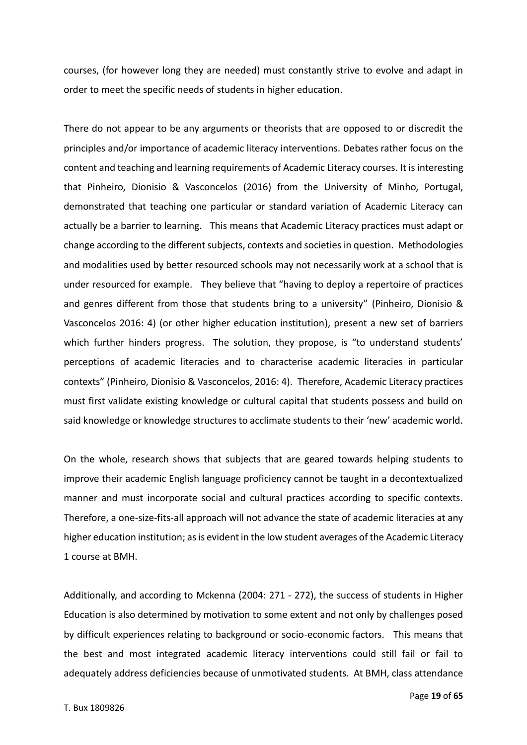courses, (for however long they are needed) must constantly strive to evolve and adapt in order to meet the specific needs of students in higher education.

There do not appear to be any arguments or theorists that are opposed to or discredit the principles and/or importance of academic literacy interventions. Debates rather focus on the content and teaching and learning requirements of Academic Literacy courses. It is interesting that Pinheiro, Dionisio & Vasconcelos (2016) from the University of Minho, Portugal, demonstrated that teaching one particular or standard variation of Academic Literacy can actually be a barrier to learning. This means that Academic Literacy practices must adapt or change according to the different subjects, contexts and societies in question. Methodologies and modalities used by better resourced schools may not necessarily work at a school that is under resourced for example. They believe that "having to deploy a repertoire of practices and genres different from those that students bring to a university" (Pinheiro, Dionisio & Vasconcelos 2016: 4) (or other higher education institution), present a new set of barriers which further hinders progress. The solution, they propose, is "to understand students' perceptions of academic literacies and to characterise academic literacies in particular contexts" (Pinheiro, Dionisio & Vasconcelos, 2016: 4). Therefore, Academic Literacy practices must first validate existing knowledge or cultural capital that students possess and build on said knowledge or knowledge structures to acclimate students to their 'new' academic world.

On the whole, research shows that subjects that are geared towards helping students to improve their academic English language proficiency cannot be taught in a decontextualized manner and must incorporate social and cultural practices according to specific contexts. Therefore, a one-size-fits-all approach will not advance the state of academic literacies at any higher education institution; as is evident in the low student averages of the Academic Literacy 1 course at BMH.

Additionally, and according to Mckenna (2004: 271 - 272), the success of students in Higher Education is also determined by motivation to some extent and not only by challenges posed by difficult experiences relating to background or socio-economic factors. This means that the best and most integrated academic literacy interventions could still fail or fail to adequately address deficiencies because of unmotivated students. At BMH, class attendance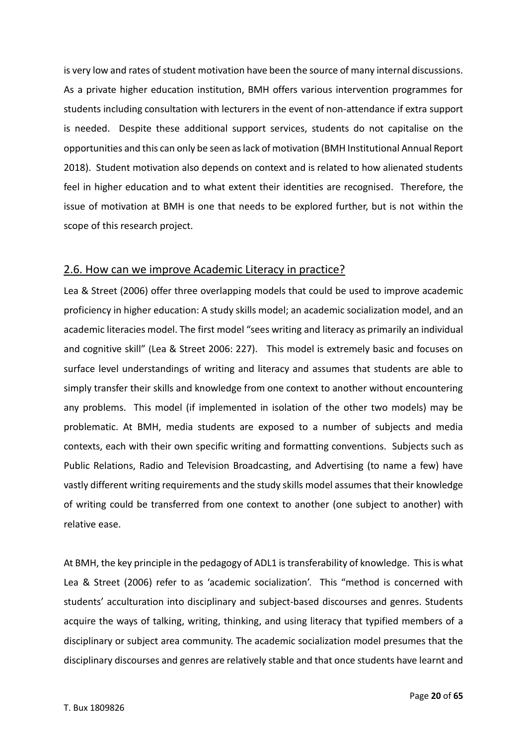is very low and rates of student motivation have been the source of many internal discussions. As a private higher education institution, BMH offers various intervention programmes for students including consultation with lecturers in the event of non-attendance if extra support is needed. Despite these additional support services, students do not capitalise on the opportunities and this can only be seen as lack of motivation (BMH Institutional Annual Report 2018). Student motivation also depends on context and is related to how alienated students feel in higher education and to what extent their identities are recognised. Therefore, the issue of motivation at BMH is one that needs to be explored further, but is not within the scope of this research project.

## 2.6. How can we improve Academic Literacy in practice?

Lea & Street (2006) offer three overlapping models that could be used to improve academic proficiency in higher education: A study skills model; an academic socialization model, and an academic literacies model. The first model "sees writing and literacy as primarily an individual and cognitive skill" (Lea & Street 2006: 227). This model is extremely basic and focuses on surface level understandings of writing and literacy and assumes that students are able to simply transfer their skills and knowledge from one context to another without encountering any problems. This model (if implemented in isolation of the other two models) may be problematic. At BMH, media students are exposed to a number of subjects and media contexts, each with their own specific writing and formatting conventions. Subjects such as Public Relations, Radio and Television Broadcasting, and Advertising (to name a few) have vastly different writing requirements and the study skills model assumes that their knowledge of writing could be transferred from one context to another (one subject to another) with relative ease.

At BMH, the key principle in the pedagogy of ADL1 is transferability of knowledge. This is what Lea & Street (2006) refer to as 'academic socialization'. This "method is concerned with students' acculturation into disciplinary and subject-based discourses and genres. Students acquire the ways of talking, writing, thinking, and using literacy that typified members of a disciplinary or subject area community. The academic socialization model presumes that the disciplinary discourses and genres are relatively stable and that once students have learnt and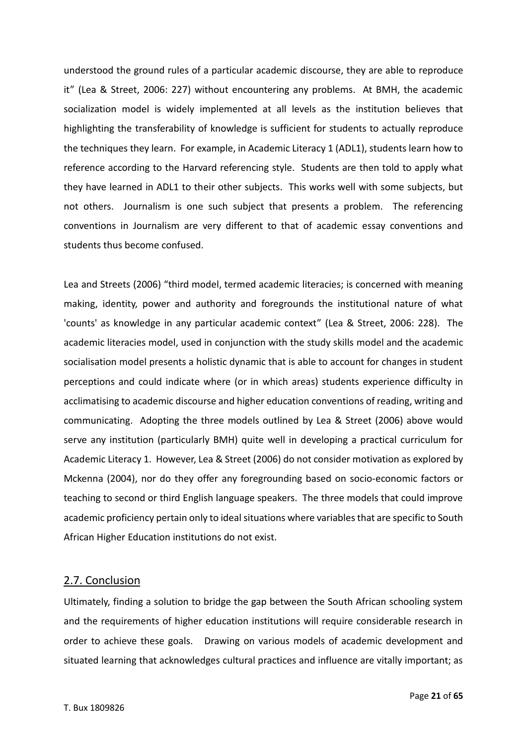understood the ground rules of a particular academic discourse, they are able to reproduce it" (Lea & Street, 2006: 227) without encountering any problems. At BMH, the academic socialization model is widely implemented at all levels as the institution believes that highlighting the transferability of knowledge is sufficient for students to actually reproduce the techniques they learn. For example, in Academic Literacy 1 (ADL1), students learn how to reference according to the Harvard referencing style. Students are then told to apply what they have learned in ADL1 to their other subjects. This works well with some subjects, but not others. Journalism is one such subject that presents a problem. The referencing conventions in Journalism are very different to that of academic essay conventions and students thus become confused.

Lea and Streets (2006) "third model, termed academic literacies; is concerned with meaning making, identity, power and authority and foregrounds the institutional nature of what 'counts' as knowledge in any particular academic context" (Lea & Street, 2006: 228). The academic literacies model, used in conjunction with the study skills model and the academic socialisation model presents a holistic dynamic that is able to account for changes in student perceptions and could indicate where (or in which areas) students experience difficulty in acclimatising to academic discourse and higher education conventions of reading, writing and communicating. Adopting the three models outlined by Lea & Street (2006) above would serve any institution (particularly BMH) quite well in developing a practical curriculum for Academic Literacy 1. However, Lea & Street (2006) do not consider motivation as explored by Mckenna (2004), nor do they offer any foregrounding based on socio-economic factors or teaching to second or third English language speakers. The three models that could improve academic proficiency pertain only to ideal situations where variables that are specific to South African Higher Education institutions do not exist.

#### 2.7. Conclusion

Ultimately, finding a solution to bridge the gap between the South African schooling system and the requirements of higher education institutions will require considerable research in order to achieve these goals. Drawing on various models of academic development and situated learning that acknowledges cultural practices and influence are vitally important; as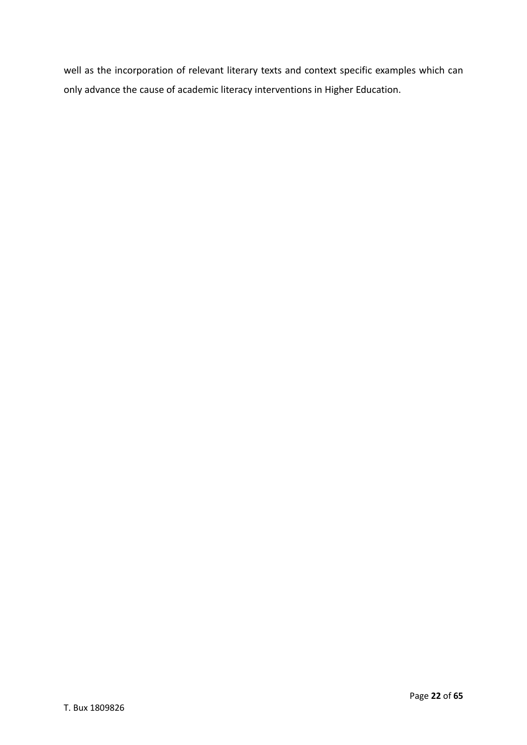well as the incorporation of relevant literary texts and context specific examples which can only advance the cause of academic literacy interventions in Higher Education.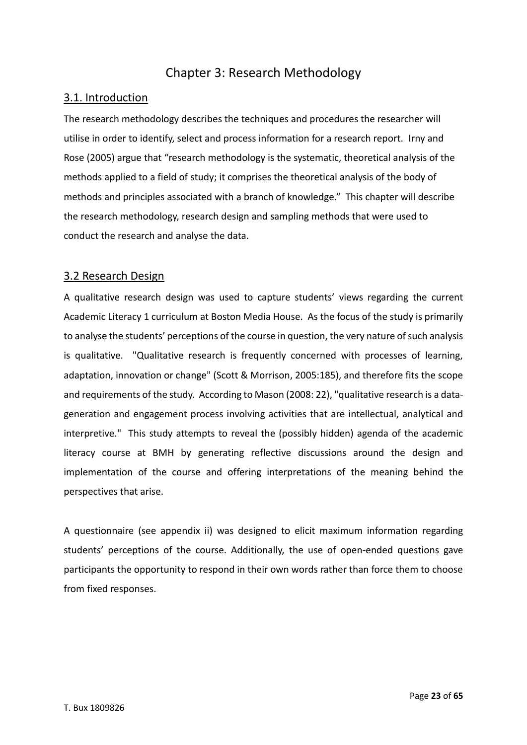## Chapter 3: Research Methodology

## 3.1. Introduction

The research methodology describes the techniques and procedures the researcher will utilise in order to identify, select and process information for a research report. Irny and Rose (2005) argue that "research methodology is the systematic, theoretical analysis of the methods applied to a field of study; it comprises the theoretical analysis of the body of methods and principles associated with a branch of knowledge." This chapter will describe the research methodology, research design and sampling methods that were used to conduct the research and analyse the data.

## 3.2 Research Design

A qualitative research design was used to capture students' views regarding the current Academic Literacy 1 curriculum at Boston Media House. As the focus of the study is primarily to analyse the students' perceptions of the course in question, the very nature of such analysis is qualitative. "Qualitative research is frequently concerned with processes of learning, adaptation, innovation or change" (Scott & Morrison, 2005:185), and therefore fits the scope and requirements of the study. According to Mason (2008: 22), "qualitative research is a datageneration and engagement process involving activities that are intellectual, analytical and interpretive." This study attempts to reveal the (possibly hidden) agenda of the academic literacy course at BMH by generating reflective discussions around the design and implementation of the course and offering interpretations of the meaning behind the perspectives that arise.

A questionnaire (see appendix ii) was designed to elicit maximum information regarding students' perceptions of the course. Additionally, the use of open-ended questions gave participants the opportunity to respond in their own words rather than force them to choose from fixed responses.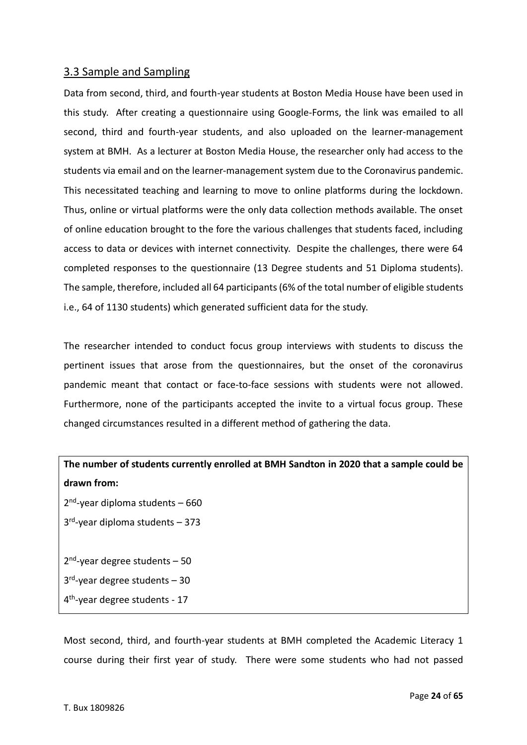## 3.3 Sample and Sampling

Data from second, third, and fourth-year students at Boston Media House have been used in this study. After creating a questionnaire using Google-Forms, the link was emailed to all second, third and fourth-year students, and also uploaded on the learner-management system at BMH. As a lecturer at Boston Media House, the researcher only had access to the students via email and on the learner-management system due to the Coronavirus pandemic. This necessitated teaching and learning to move to online platforms during the lockdown. Thus, online or virtual platforms were the only data collection methods available. The onset of online education brought to the fore the various challenges that students faced, including access to data or devices with internet connectivity. Despite the challenges, there were 64 completed responses to the questionnaire (13 Degree students and 51 Diploma students). The sample, therefore, included all 64 participants(6% of the total number of eligible students i.e., 64 of 1130 students) which generated sufficient data for the study.

The researcher intended to conduct focus group interviews with students to discuss the pertinent issues that arose from the questionnaires, but the onset of the coronavirus pandemic meant that contact or face-to-face sessions with students were not allowed. Furthermore, none of the participants accepted the invite to a virtual focus group. These changed circumstances resulted in a different method of gathering the data.

# **The number of students currently enrolled at BMH Sandton in 2020 that a sample could be drawn from:** 2<sup>nd</sup>-year diploma students - 660 3 rd -year diploma students – 373

2<sup>nd</sup>-year degree students - 50 3 rd -year degree students – 30 4 th -year degree students - 17

Most second, third, and fourth-year students at BMH completed the Academic Literacy 1 course during their first year of study. There were some students who had not passed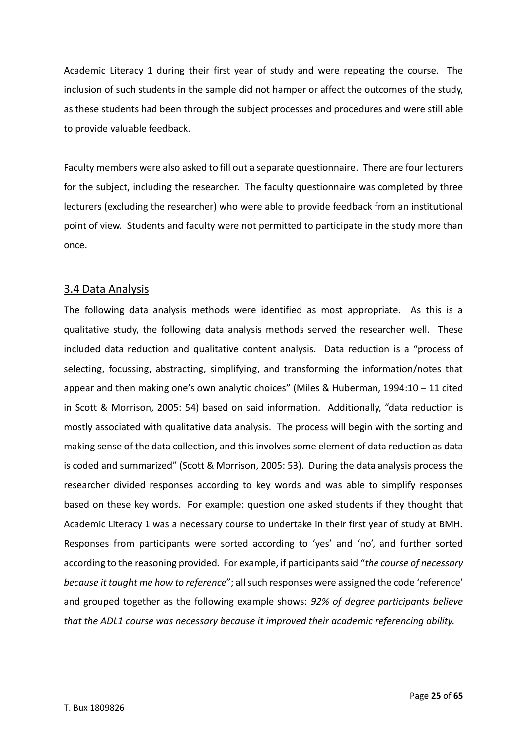Academic Literacy 1 during their first year of study and were repeating the course. The inclusion of such students in the sample did not hamper or affect the outcomes of the study, as these students had been through the subject processes and procedures and were still able to provide valuable feedback.

Faculty members were also asked to fill out a separate questionnaire. There are four lecturers for the subject, including the researcher. The faculty questionnaire was completed by three lecturers (excluding the researcher) who were able to provide feedback from an institutional point of view. Students and faculty were not permitted to participate in the study more than once.

## 3.4 Data Analysis

The following data analysis methods were identified as most appropriate. As this is a qualitative study, the following data analysis methods served the researcher well. These included data reduction and qualitative content analysis. Data reduction is a "process of selecting, focussing, abstracting, simplifying, and transforming the information/notes that appear and then making one's own analytic choices" (Miles & Huberman, 1994:10 – 11 cited in Scott & Morrison, 2005: 54) based on said information. Additionally, "data reduction is mostly associated with qualitative data analysis. The process will begin with the sorting and making sense of the data collection, and this involves some element of data reduction as data is coded and summarized" (Scott & Morrison, 2005: 53). During the data analysis process the researcher divided responses according to key words and was able to simplify responses based on these key words. For example: question one asked students if they thought that Academic Literacy 1 was a necessary course to undertake in their first year of study at BMH. Responses from participants were sorted according to 'yes' and 'no', and further sorted according to the reasoning provided. For example, if participants said "*the course of necessary because it taught me how to reference*"; all such responses were assigned the code 'reference' and grouped together as the following example shows: *92% of degree participants believe that the ADL1 course was necessary because it improved their academic referencing ability.*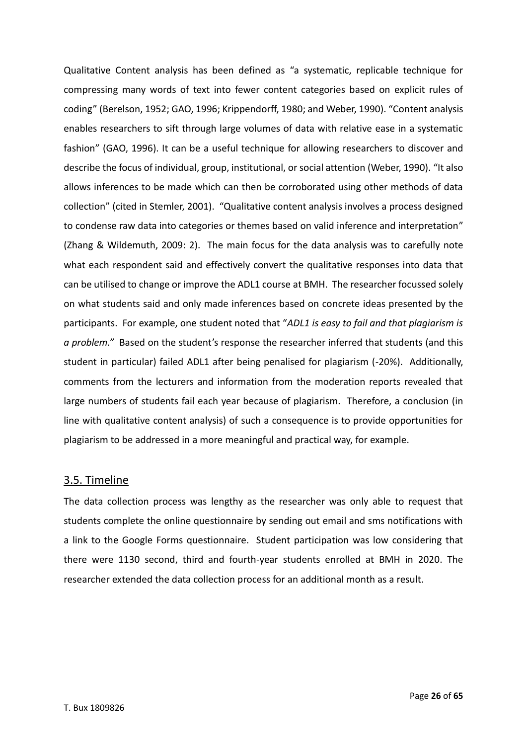Qualitative Content analysis has been defined as "a systematic, replicable technique for compressing many words of text into fewer content categories based on explicit rules of coding" (Berelson, 1952; GAO, 1996; Krippendorff, 1980; and Weber, 1990). "Content analysis enables researchers to sift through large volumes of data with relative ease in a systematic fashion" (GAO, 1996). It can be a useful technique for allowing researchers to discover and describe the focus of individual, group, institutional, or social attention (Weber, 1990). "It also allows inferences to be made which can then be corroborated using other methods of data collection" (cited in Stemler, 2001). "Qualitative content analysis involves a process designed to condense raw data into categories or themes based on valid inference and interpretation" (Zhang & Wildemuth, 2009: 2). The main focus for the data analysis was to carefully note what each respondent said and effectively convert the qualitative responses into data that can be utilised to change or improve the ADL1 course at BMH. The researcher focussed solely on what students said and only made inferences based on concrete ideas presented by the participants. For example, one student noted that "*ADL1 is easy to fail and that plagiarism is a problem."* Based on the student's response the researcher inferred that students (and this student in particular) failed ADL1 after being penalised for plagiarism (-20%). Additionally, comments from the lecturers and information from the moderation reports revealed that large numbers of students fail each year because of plagiarism. Therefore, a conclusion (in line with qualitative content analysis) of such a consequence is to provide opportunities for plagiarism to be addressed in a more meaningful and practical way, for example.

## 3.5. Timeline

The data collection process was lengthy as the researcher was only able to request that students complete the online questionnaire by sending out email and sms notifications with a link to the Google Forms questionnaire. Student participation was low considering that there were 1130 second, third and fourth-year students enrolled at BMH in 2020. The researcher extended the data collection process for an additional month as a result.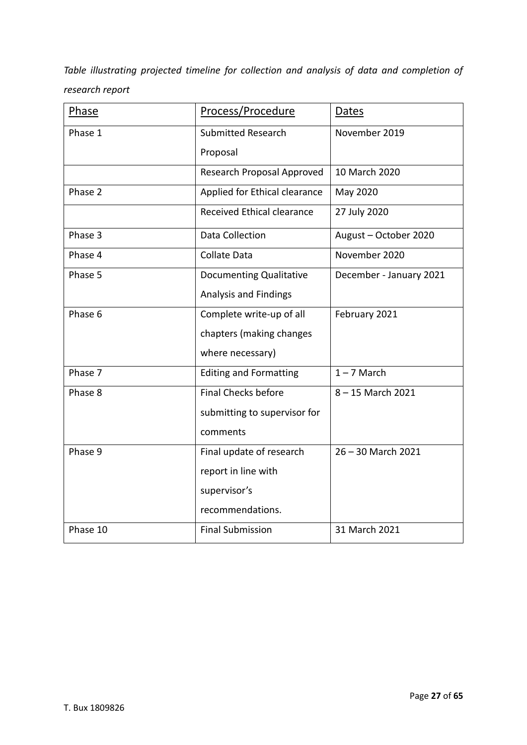*Table illustrating projected timeline for collection and analysis of data and completion of research report*

| Phase    | Process/Procedure              | Dates                   |
|----------|--------------------------------|-------------------------|
| Phase 1  | <b>Submitted Research</b>      | November 2019           |
|          | Proposal                       |                         |
|          | Research Proposal Approved     | 10 March 2020           |
| Phase 2  | Applied for Ethical clearance  | May 2020                |
|          | Received Ethical clearance     | 27 July 2020            |
| Phase 3  | Data Collection                | August - October 2020   |
| Phase 4  | <b>Collate Data</b>            | November 2020           |
| Phase 5  | <b>Documenting Qualitative</b> | December - January 2021 |
|          | Analysis and Findings          |                         |
| Phase 6  | Complete write-up of all       | February 2021           |
|          | chapters (making changes       |                         |
|          | where necessary)               |                         |
| Phase 7  | <b>Editing and Formatting</b>  | $1 - 7$ March           |
| Phase 8  | <b>Final Checks before</b>     | 8-15 March 2021         |
|          | submitting to supervisor for   |                         |
|          | comments                       |                         |
| Phase 9  | Final update of research       | 26 - 30 March 2021      |
|          | report in line with            |                         |
|          | supervisor's                   |                         |
|          | recommendations.               |                         |
| Phase 10 | <b>Final Submission</b>        | 31 March 2021           |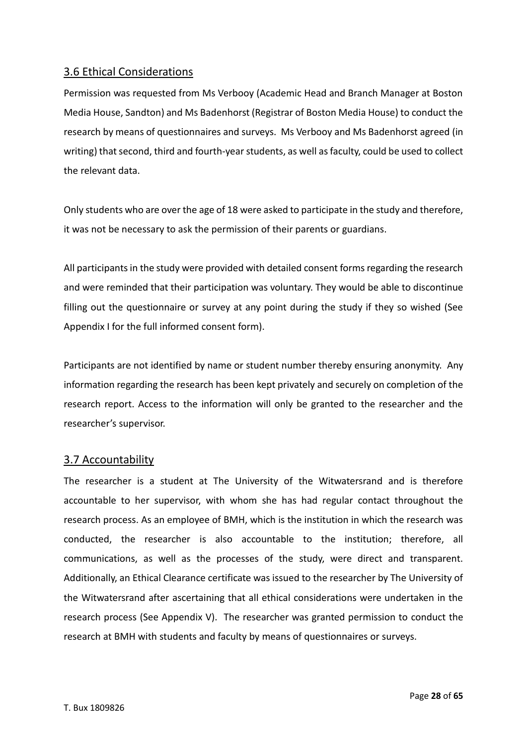## 3.6 Ethical Considerations

Permission was requested from Ms Verbooy (Academic Head and Branch Manager at Boston Media House, Sandton) and Ms Badenhorst (Registrar of Boston Media House) to conduct the research by means of questionnaires and surveys. Ms Verbooy and Ms Badenhorst agreed (in writing) that second, third and fourth-year students, as well as faculty, could be used to collect the relevant data.

Only students who are over the age of 18 were asked to participate in the study and therefore, it was not be necessary to ask the permission of their parents or guardians.

All participants in the study were provided with detailed consent forms regarding the research and were reminded that their participation was voluntary. They would be able to discontinue filling out the questionnaire or survey at any point during the study if they so wished (See Appendix I for the full informed consent form).

Participants are not identified by name or student number thereby ensuring anonymity. Any information regarding the research has been kept privately and securely on completion of the research report. Access to the information will only be granted to the researcher and the researcher's supervisor.

## 3.7 Accountability

The researcher is a student at The University of the Witwatersrand and is therefore accountable to her supervisor, with whom she has had regular contact throughout the research process. As an employee of BMH, which is the institution in which the research was conducted, the researcher is also accountable to the institution; therefore, all communications, as well as the processes of the study, were direct and transparent. Additionally, an Ethical Clearance certificate was issued to the researcher by The University of the Witwatersrand after ascertaining that all ethical considerations were undertaken in the research process (See Appendix V). The researcher was granted permission to conduct the research at BMH with students and faculty by means of questionnaires or surveys.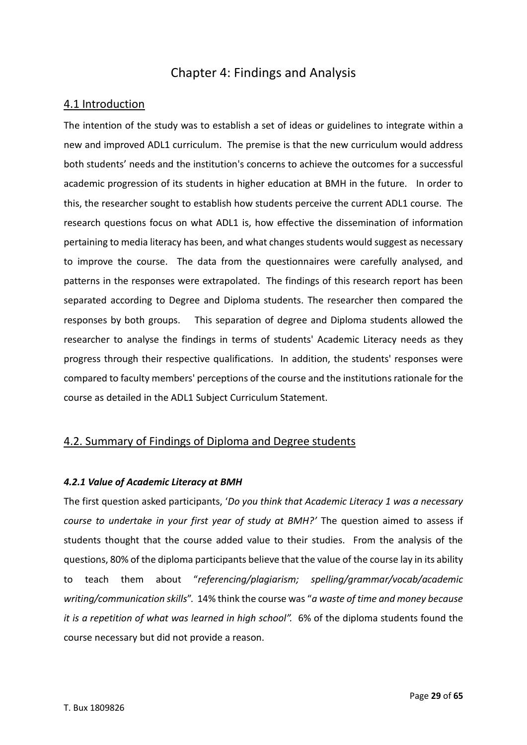## Chapter 4: Findings and Analysis

## 4.1 Introduction

The intention of the study was to establish a set of ideas or guidelines to integrate within a new and improved ADL1 curriculum. The premise is that the new curriculum would address both students' needs and the institution's concerns to achieve the outcomes for a successful academic progression of its students in higher education at BMH in the future. In order to this, the researcher sought to establish how students perceive the current ADL1 course. The research questions focus on what ADL1 is, how effective the dissemination of information pertaining to media literacy has been, and what changes students would suggest as necessary to improve the course. The data from the questionnaires were carefully analysed, and patterns in the responses were extrapolated. The findings of this research report has been separated according to Degree and Diploma students. The researcher then compared the responses by both groups. This separation of degree and Diploma students allowed the researcher to analyse the findings in terms of students' Academic Literacy needs as they progress through their respective qualifications. In addition, the students' responses were compared to faculty members' perceptions of the course and the institutions rationale for the course as detailed in the ADL1 Subject Curriculum Statement.

## 4.2. Summary of Findings of Diploma and Degree students

## *4.2.1 Value of Academic Literacy at BMH*

The first question asked participants, '*Do you think that Academic Literacy 1 was a necessary course to undertake in your first year of study at BMH?'* The question aimed to assess if students thought that the course added value to their studies. From the analysis of the questions, 80% of the diploma participants believe that the value of the course lay in its ability to teach them about "*referencing/plagiarism; spelling/grammar/vocab/academic writing/communication skills*". 14% think the course was "*a waste of time and money because it is a repetition of what was learned in high school".* 6% of the diploma students found the course necessary but did not provide a reason.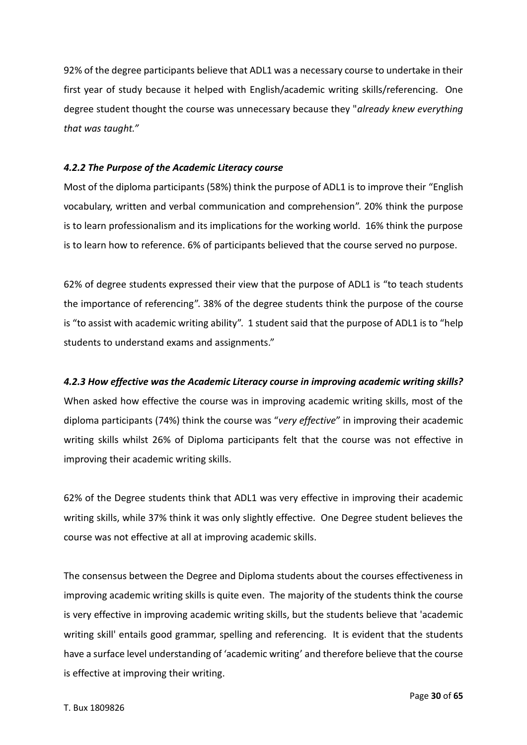92% of the degree participants believe that ADL1 was a necessary course to undertake in their first year of study because it helped with English/academic writing skills/referencing. One degree student thought the course was unnecessary because they "*already knew everything that was taught."*

#### *4.2.2 The Purpose of the Academic Literacy course*

Most of the diploma participants (58%) think the purpose of ADL1 is to improve their "English vocabulary, written and verbal communication and comprehension". 20% think the purpose is to learn professionalism and its implications for the working world. 16% think the purpose is to learn how to reference. 6% of participants believed that the course served no purpose.

62% of degree students expressed their view that the purpose of ADL1 is "to teach students the importance of referencing". 38% of the degree students think the purpose of the course is "to assist with academic writing ability". 1 student said that the purpose of ADL1 is to "help students to understand exams and assignments."

#### *4.2.3 How effective was the Academic Literacy course in improving academic writing skills?*

When asked how effective the course was in improving academic writing skills, most of the diploma participants (74%) think the course was "*very effective*" in improving their academic writing skills whilst 26% of Diploma participants felt that the course was not effective in improving their academic writing skills.

62% of the Degree students think that ADL1 was very effective in improving their academic writing skills, while 37% think it was only slightly effective. One Degree student believes the course was not effective at all at improving academic skills.

The consensus between the Degree and Diploma students about the courses effectiveness in improving academic writing skills is quite even. The majority of the students think the course is very effective in improving academic writing skills, but the students believe that 'academic writing skill' entails good grammar, spelling and referencing. It is evident that the students have a surface level understanding of 'academic writing' and therefore believe that the course is effective at improving their writing.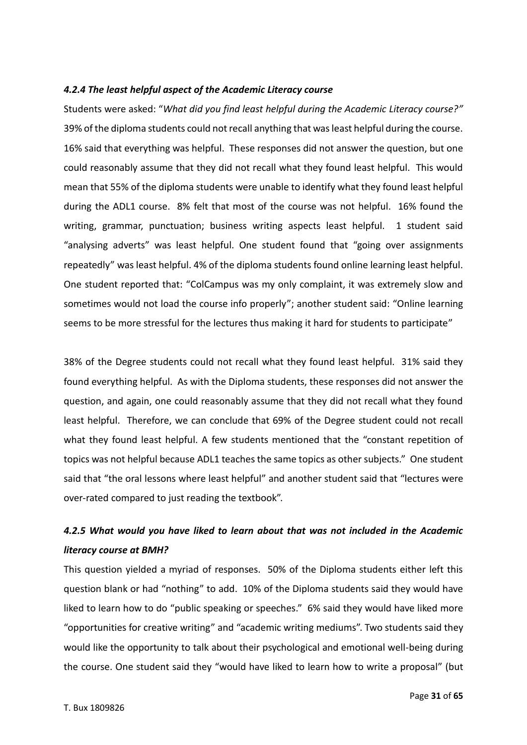#### *4.2.4 The least helpful aspect of the Academic Literacy course*

Students were asked: "*What did you find least helpful during the Academic Literacy course?"* 39% of the diploma students could not recall anything that was least helpful during the course. 16% said that everything was helpful. These responses did not answer the question, but one could reasonably assume that they did not recall what they found least helpful. This would mean that 55% of the diploma students were unable to identify what they found least helpful during the ADL1 course. 8% felt that most of the course was not helpful. 16% found the writing, grammar, punctuation; business writing aspects least helpful. 1 student said "analysing adverts" was least helpful. One student found that "going over assignments repeatedly" was least helpful. 4% of the diploma students found online learning least helpful. One student reported that: "ColCampus was my only complaint, it was extremely slow and sometimes would not load the course info properly"; another student said: "Online learning seems to be more stressful for the lectures thus making it hard for students to participate"

38% of the Degree students could not recall what they found least helpful. 31% said they found everything helpful. As with the Diploma students, these responses did not answer the question, and again, one could reasonably assume that they did not recall what they found least helpful. Therefore, we can conclude that 69% of the Degree student could not recall what they found least helpful. A few students mentioned that the "constant repetition of topics was not helpful because ADL1 teaches the same topics as other subjects." One student said that "the oral lessons where least helpful" and another student said that "lectures were over-rated compared to just reading the textbook".

# *4.2.5 What would you have liked to learn about that was not included in the Academic literacy course at BMH?*

This question yielded a myriad of responses. 50% of the Diploma students either left this question blank or had "nothing" to add. 10% of the Diploma students said they would have liked to learn how to do "public speaking or speeches." 6% said they would have liked more "opportunities for creative writing" and "academic writing mediums". Two students said they would like the opportunity to talk about their psychological and emotional well-being during the course. One student said they "would have liked to learn how to write a proposal" (but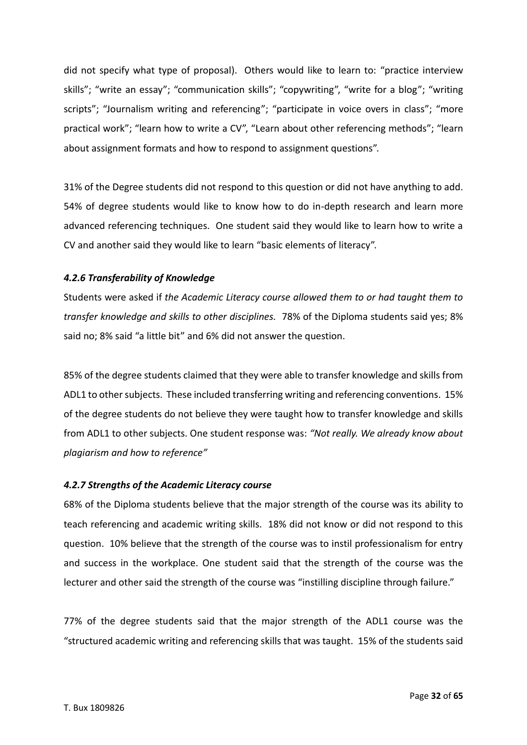did not specify what type of proposal). Others would like to learn to: "practice interview skills"; "write an essay"; "communication skills"; "copywriting", "write for a blog"; "writing scripts"; "Journalism writing and referencing"; "participate in voice overs in class"; "more practical work"; "learn how to write a CV", "Learn about other referencing methods"; "learn about assignment formats and how to respond to assignment questions".

31% of the Degree students did not respond to this question or did not have anything to add. 54% of degree students would like to know how to do in-depth research and learn more advanced referencing techniques. One student said they would like to learn how to write a CV and another said they would like to learn "basic elements of literacy".

#### *4.2.6 Transferability of Knowledge*

Students were asked if *the Academic Literacy course allowed them to or had taught them to transfer knowledge and skills to other disciplines.* 78% of the Diploma students said yes; 8% said no; 8% said "a little bit" and 6% did not answer the question.

85% of the degree students claimed that they were able to transfer knowledge and skills from ADL1 to other subjects. These included transferring writing and referencing conventions. 15% of the degree students do not believe they were taught how to transfer knowledge and skills from ADL1 to other subjects. One student response was: *"Not really. We already know about plagiarism and how to reference"*

#### *4.2.7 Strengths of the Academic Literacy course*

68% of the Diploma students believe that the major strength of the course was its ability to teach referencing and academic writing skills. 18% did not know or did not respond to this question. 10% believe that the strength of the course was to instil professionalism for entry and success in the workplace. One student said that the strength of the course was the lecturer and other said the strength of the course was "instilling discipline through failure."

77% of the degree students said that the major strength of the ADL1 course was the "structured academic writing and referencing skills that was taught. 15% of the students said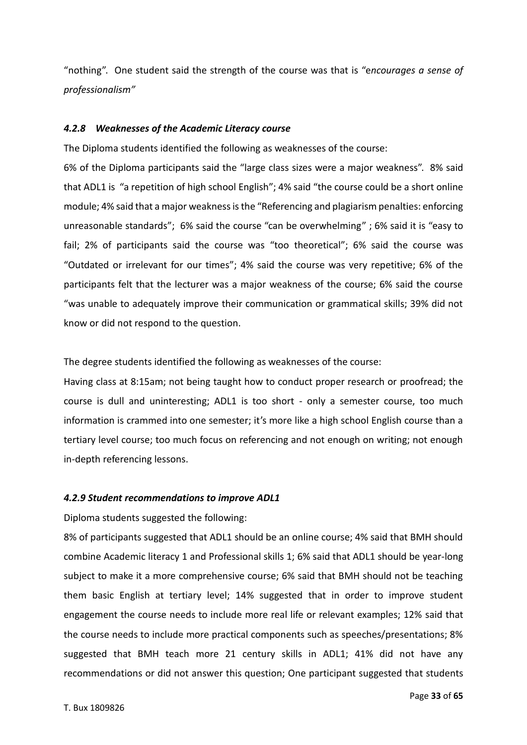"nothing". One student said the strength of the course was that is "e*ncourages a sense of professionalism"*

#### *4.2.8 Weaknesses of the Academic Literacy course*

The Diploma students identified the following as weaknesses of the course:

6% of the Diploma participants said the "large class sizes were a major weakness". 8% said that ADL1 is "a repetition of high school English"; 4% said "the course could be a short online module; 4% said that a major weakness is the "Referencing and plagiarism penalties: enforcing unreasonable standards"; 6% said the course "can be overwhelming" ; 6% said it is "easy to fail; 2% of participants said the course was "too theoretical"; 6% said the course was "Outdated or irrelevant for our times"; 4% said the course was very repetitive; 6% of the participants felt that the lecturer was a major weakness of the course; 6% said the course "was unable to adequately improve their communication or grammatical skills; 39% did not know or did not respond to the question.

The degree students identified the following as weaknesses of the course:

Having class at 8:15am; not being taught how to conduct proper research or proofread; the course is dull and uninteresting; ADL1 is too short - only a semester course, too much information is crammed into one semester; it's more like a high school English course than a tertiary level course; too much focus on referencing and not enough on writing; not enough in-depth referencing lessons.

#### *4.2.9 Student recommendations to improve ADL1*

Diploma students suggested the following:

8% of participants suggested that ADL1 should be an online course; 4% said that BMH should combine Academic literacy 1 and Professional skills 1; 6% said that ADL1 should be year-long subject to make it a more comprehensive course; 6% said that BMH should not be teaching them basic English at tertiary level; 14% suggested that in order to improve student engagement the course needs to include more real life or relevant examples; 12% said that the course needs to include more practical components such as speeches/presentations; 8% suggested that BMH teach more 21 century skills in ADL1; 41% did not have any recommendations or did not answer this question; One participant suggested that students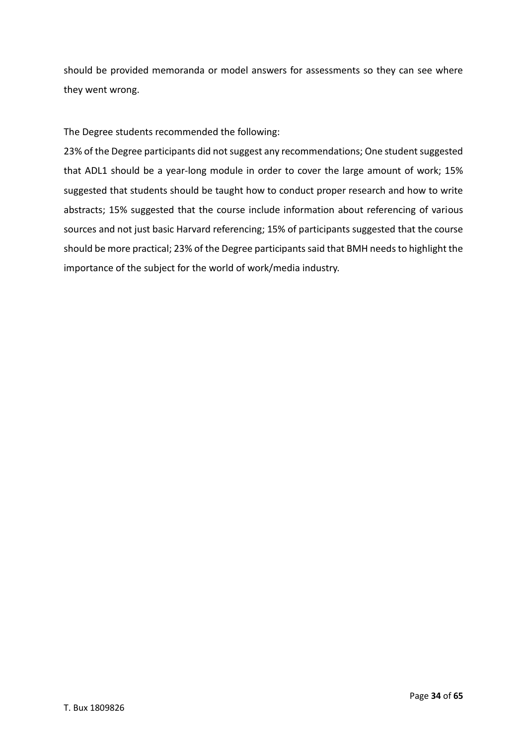should be provided memoranda or model answers for assessments so they can see where they went wrong.

The Degree students recommended the following:

23% of the Degree participants did not suggest any recommendations; One student suggested that ADL1 should be a year-long module in order to cover the large amount of work; 15% suggested that students should be taught how to conduct proper research and how to write abstracts; 15% suggested that the course include information about referencing of various sources and not just basic Harvard referencing; 15% of participants suggested that the course should be more practical; 23% of the Degree participants said that BMH needs to highlight the importance of the subject for the world of work/media industry.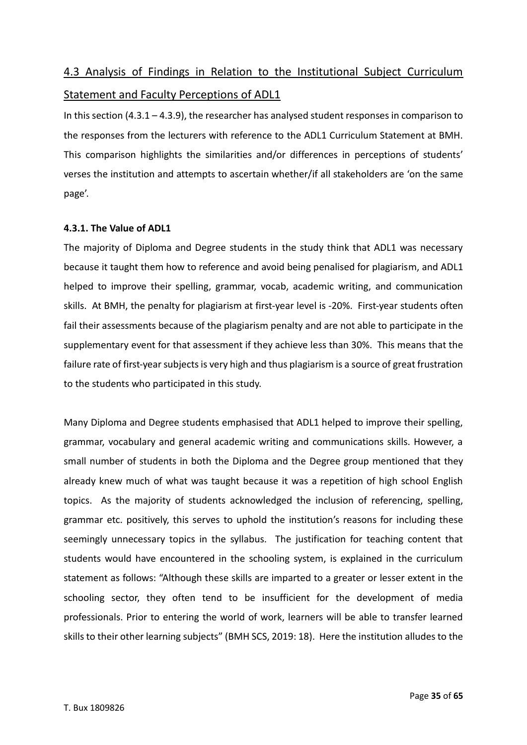# 4.3 Analysis of Findings in Relation to the Institutional Subject Curriculum Statement and Faculty Perceptions of ADL1

In this section  $(4.3.1 - 4.3.9)$ , the researcher has analysed student responses in comparison to the responses from the lecturers with reference to the ADL1 Curriculum Statement at BMH. This comparison highlights the similarities and/or differences in perceptions of students' verses the institution and attempts to ascertain whether/if all stakeholders are 'on the same page'.

## **4.3.1. The Value of ADL1**

The majority of Diploma and Degree students in the study think that ADL1 was necessary because it taught them how to reference and avoid being penalised for plagiarism, and ADL1 helped to improve their spelling, grammar, vocab, academic writing, and communication skills. At BMH, the penalty for plagiarism at first-year level is -20%. First-year students often fail their assessments because of the plagiarism penalty and are not able to participate in the supplementary event for that assessment if they achieve less than 30%. This means that the failure rate of first-year subjects is very high and thus plagiarism is a source of great frustration to the students who participated in this study.

Many Diploma and Degree students emphasised that ADL1 helped to improve their spelling, grammar, vocabulary and general academic writing and communications skills. However, a small number of students in both the Diploma and the Degree group mentioned that they already knew much of what was taught because it was a repetition of high school English topics. As the majority of students acknowledged the inclusion of referencing, spelling, grammar etc. positively, this serves to uphold the institution's reasons for including these seemingly unnecessary topics in the syllabus. The justification for teaching content that students would have encountered in the schooling system, is explained in the curriculum statement as follows: "Although these skills are imparted to a greater or lesser extent in the schooling sector, they often tend to be insufficient for the development of media professionals. Prior to entering the world of work, learners will be able to transfer learned skills to their other learning subjects" (BMH SCS, 2019: 18). Here the institution alludes to the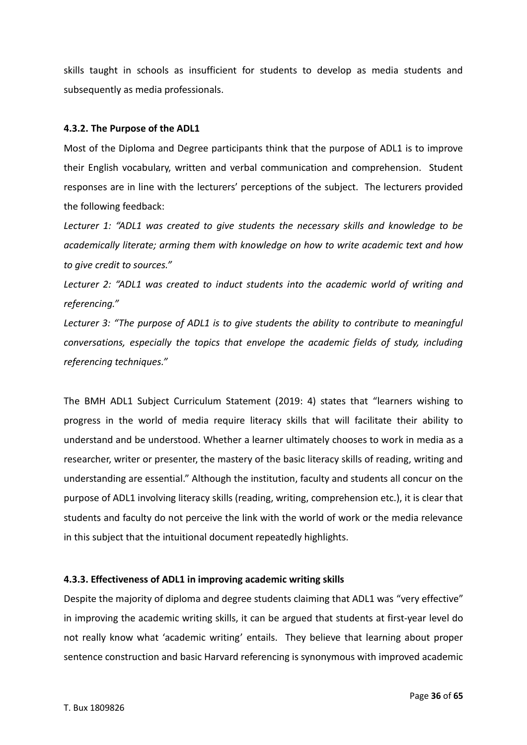skills taught in schools as insufficient for students to develop as media students and subsequently as media professionals.

#### **4.3.2. The Purpose of the ADL1**

Most of the Diploma and Degree participants think that the purpose of ADL1 is to improve their English vocabulary, written and verbal communication and comprehension. Student responses are in line with the lecturers' perceptions of the subject. The lecturers provided the following feedback:

*Lecturer 1: "ADL1 was created to give students the necessary skills and knowledge to be academically literate; arming them with knowledge on how to write academic text and how to give credit to sources."* 

*Lecturer 2: "ADL1 was created to induct students into the academic world of writing and referencing."*

*Lecturer 3: "The purpose of ADL1 is to give students the ability to contribute to meaningful conversations, especially the topics that envelope the academic fields of study, including referencing techniques."*

The BMH ADL1 Subject Curriculum Statement (2019: 4) states that "learners wishing to progress in the world of media require literacy skills that will facilitate their ability to understand and be understood. Whether a learner ultimately chooses to work in media as a researcher, writer or presenter, the mastery of the basic literacy skills of reading, writing and understanding are essential." Although the institution, faculty and students all concur on the purpose of ADL1 involving literacy skills (reading, writing, comprehension etc.), it is clear that students and faculty do not perceive the link with the world of work or the media relevance in this subject that the intuitional document repeatedly highlights.

#### **4.3.3. Effectiveness of ADL1 in improving academic writing skills**

Despite the majority of diploma and degree students claiming that ADL1 was "very effective" in improving the academic writing skills, it can be argued that students at first-year level do not really know what 'academic writing' entails. They believe that learning about proper sentence construction and basic Harvard referencing is synonymous with improved academic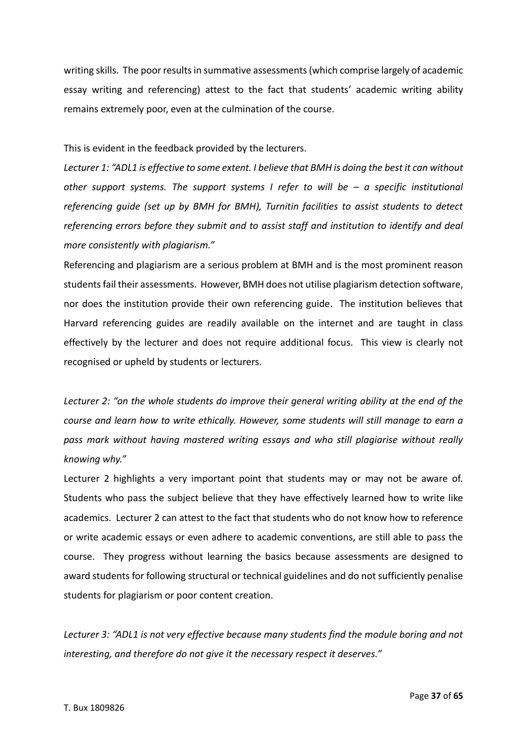writing skills. The poor results in summative assessments (which comprise largely of academic essay writing and referencing) attest to the fact that students' academic writing ability remains extremely poor, even at the culmination of the course.

This is evident in the feedback provided by the lecturers.

*Lecturer 1: "ADL1 is effective to some extent. I believe that BMH is doing the best it can without other support systems. The support systems I refer to will be – a specific institutional referencing guide (set up by BMH for BMH), Turnitin facilities to assist students to detect referencing errors before they submit and to assist staff and institution to identify and deal more consistently with plagiarism."*

Referencing and plagiarism are a serious problem at BMH and is the most prominent reason students fail their assessments. However, BMH does not utilise plagiarism detection software, nor does the institution provide their own referencing guide. The institution believes that Harvard referencing guides are readily available on the internet and are taught in class effectively by the lecturer and does not require additional focus. This view is clearly not recognised or upheld by students or lecturers.

*Lecturer 2: "on the whole students do improve their general writing ability at the end of the course and learn how to write ethically. However, some students will still manage to earn a pass mark without having mastered writing essays and who still plagiarise without really knowing why."*

Lecturer 2 highlights a very important point that students may or may not be aware of. Students who pass the subject believe that they have effectively learned how to write like academics. Lecturer 2 can attest to the fact that students who do not know how to reference or write academic essays or even adhere to academic conventions, are still able to pass the course. They progress without learning the basics because assessments are designed to award students for following structural or technical guidelines and do not sufficiently penalise students for plagiarism or poor content creation.

*Lecturer 3: "ADL1 is not very effective because many students find the module boring and not interesting, and therefore do not give it the necessary respect it deserves."*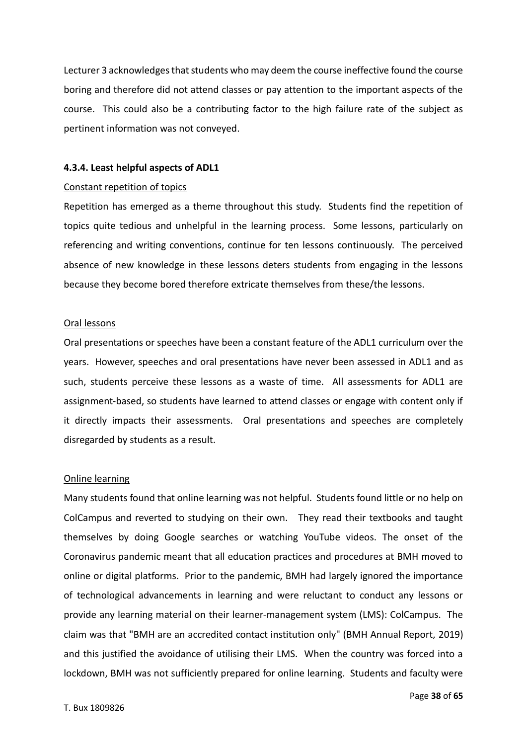Lecturer 3 acknowledges that students who may deem the course ineffective found the course boring and therefore did not attend classes or pay attention to the important aspects of the course. This could also be a contributing factor to the high failure rate of the subject as pertinent information was not conveyed.

#### **4.3.4. Least helpful aspects of ADL1**

#### Constant repetition of topics

Repetition has emerged as a theme throughout this study. Students find the repetition of topics quite tedious and unhelpful in the learning process. Some lessons, particularly on referencing and writing conventions, continue for ten lessons continuously. The perceived absence of new knowledge in these lessons deters students from engaging in the lessons because they become bored therefore extricate themselves from these/the lessons.

#### Oral lessons

Oral presentations or speeches have been a constant feature of the ADL1 curriculum over the years. However, speeches and oral presentations have never been assessed in ADL1 and as such, students perceive these lessons as a waste of time. All assessments for ADL1 are assignment-based, so students have learned to attend classes or engage with content only if it directly impacts their assessments. Oral presentations and speeches are completely disregarded by students as a result.

#### Online learning

Many students found that online learning was not helpful. Students found little or no help on ColCampus and reverted to studying on their own. They read their textbooks and taught themselves by doing Google searches or watching YouTube videos. The onset of the Coronavirus pandemic meant that all education practices and procedures at BMH moved to online or digital platforms. Prior to the pandemic, BMH had largely ignored the importance of technological advancements in learning and were reluctant to conduct any lessons or provide any learning material on their learner-management system (LMS): ColCampus. The claim was that "BMH are an accredited contact institution only" (BMH Annual Report, 2019) and this justified the avoidance of utilising their LMS. When the country was forced into a lockdown, BMH was not sufficiently prepared for online learning. Students and faculty were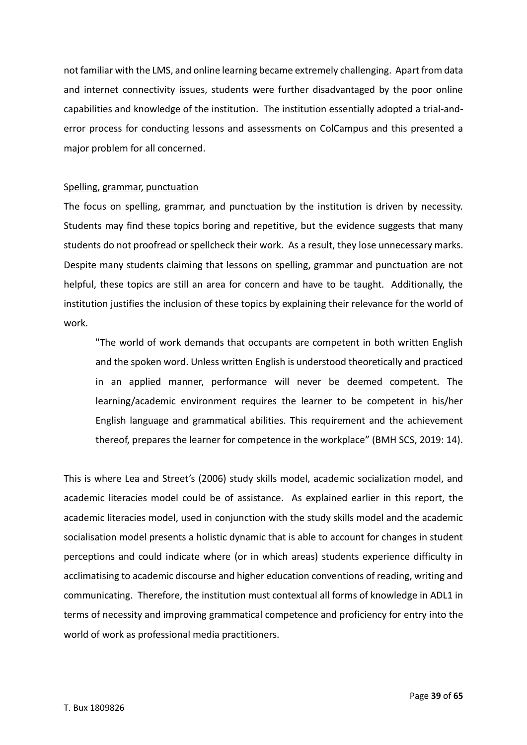not familiar with the LMS, and online learning became extremely challenging. Apart from data and internet connectivity issues, students were further disadvantaged by the poor online capabilities and knowledge of the institution. The institution essentially adopted a trial-anderror process for conducting lessons and assessments on ColCampus and this presented a major problem for all concerned.

#### Spelling, grammar, punctuation

The focus on spelling, grammar, and punctuation by the institution is driven by necessity. Students may find these topics boring and repetitive, but the evidence suggests that many students do not proofread or spellcheck their work. As a result, they lose unnecessary marks. Despite many students claiming that lessons on spelling, grammar and punctuation are not helpful, these topics are still an area for concern and have to be taught. Additionally, the institution justifies the inclusion of these topics by explaining their relevance for the world of work.

"The world of work demands that occupants are competent in both written English and the spoken word. Unless written English is understood theoretically and practiced in an applied manner, performance will never be deemed competent. The learning/academic environment requires the learner to be competent in his/her English language and grammatical abilities. This requirement and the achievement thereof, prepares the learner for competence in the workplace" (BMH SCS, 2019: 14).

This is where Lea and Street's (2006) study skills model, academic socialization model, and academic literacies model could be of assistance. As explained earlier in this report, the academic literacies model, used in conjunction with the study skills model and the academic socialisation model presents a holistic dynamic that is able to account for changes in student perceptions and could indicate where (or in which areas) students experience difficulty in acclimatising to academic discourse and higher education conventions of reading, writing and communicating. Therefore, the institution must contextual all forms of knowledge in ADL1 in terms of necessity and improving grammatical competence and proficiency for entry into the world of work as professional media practitioners.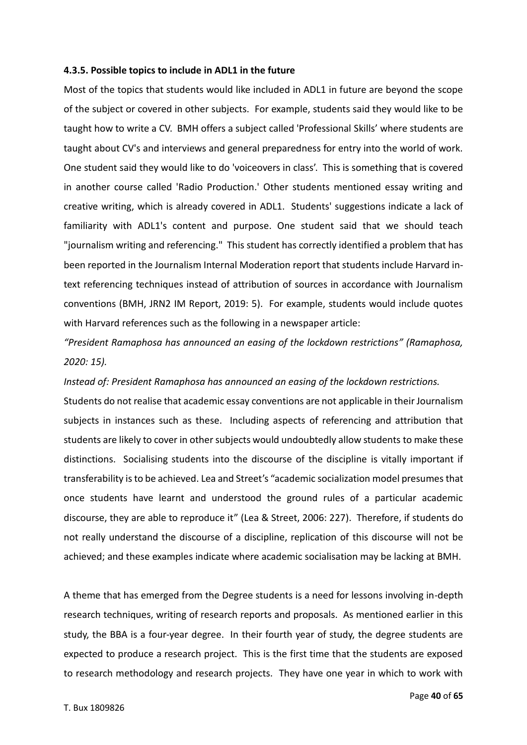#### **4.3.5. Possible topics to include in ADL1 in the future**

Most of the topics that students would like included in ADL1 in future are beyond the scope of the subject or covered in other subjects. For example, students said they would like to be taught how to write a CV. BMH offers a subject called 'Professional Skills' where students are taught about CV's and interviews and general preparedness for entry into the world of work. One student said they would like to do 'voiceovers in class'. This is something that is covered in another course called 'Radio Production.' Other students mentioned essay writing and creative writing, which is already covered in ADL1. Students' suggestions indicate a lack of familiarity with ADL1's content and purpose. One student said that we should teach "journalism writing and referencing." This student has correctly identified a problem that has been reported in the Journalism Internal Moderation report that students include Harvard intext referencing techniques instead of attribution of sources in accordance with Journalism conventions (BMH, JRN2 IM Report, 2019: 5). For example, students would include quotes with Harvard references such as the following in a newspaper article:

*"President Ramaphosa has announced an easing of the lockdown restrictions" (Ramaphosa, 2020: 15).* 

*Instead of: President Ramaphosa has announced an easing of the lockdown restrictions.*

Students do not realise that academic essay conventions are not applicable in their Journalism subjects in instances such as these. Including aspects of referencing and attribution that students are likely to cover in other subjects would undoubtedly allow students to make these distinctions. Socialising students into the discourse of the discipline is vitally important if transferability is to be achieved. Lea and Street's "academic socialization model presumes that once students have learnt and understood the ground rules of a particular academic discourse, they are able to reproduce it" (Lea & Street, 2006: 227). Therefore, if students do not really understand the discourse of a discipline, replication of this discourse will not be achieved; and these examples indicate where academic socialisation may be lacking at BMH.

A theme that has emerged from the Degree students is a need for lessons involving in-depth research techniques, writing of research reports and proposals. As mentioned earlier in this study, the BBA is a four-year degree. In their fourth year of study, the degree students are expected to produce a research project. This is the first time that the students are exposed to research methodology and research projects. They have one year in which to work with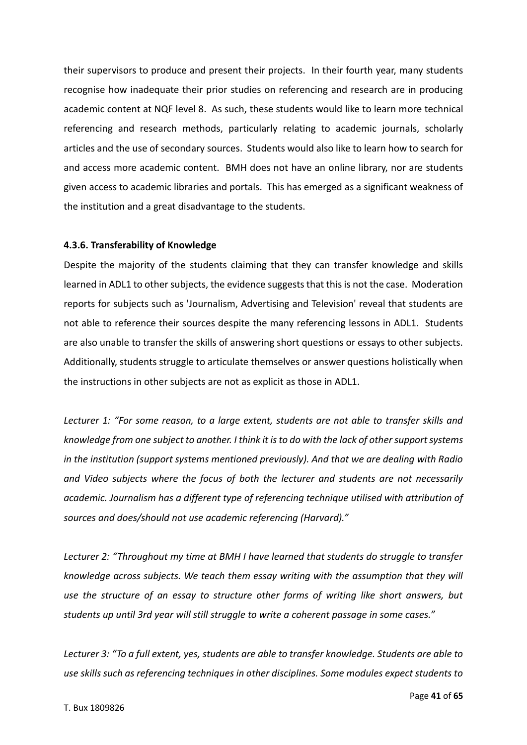their supervisors to produce and present their projects. In their fourth year, many students recognise how inadequate their prior studies on referencing and research are in producing academic content at NQF level 8. As such, these students would like to learn more technical referencing and research methods, particularly relating to academic journals, scholarly articles and the use of secondary sources. Students would also like to learn how to search for and access more academic content. BMH does not have an online library, nor are students given access to academic libraries and portals. This has emerged as a significant weakness of the institution and a great disadvantage to the students.

#### **4.3.6. Transferability of Knowledge**

Despite the majority of the students claiming that they can transfer knowledge and skills learned in ADL1 to other subjects, the evidence suggests that this is not the case. Moderation reports for subjects such as 'Journalism, Advertising and Television' reveal that students are not able to reference their sources despite the many referencing lessons in ADL1. Students are also unable to transfer the skills of answering short questions or essays to other subjects. Additionally, students struggle to articulate themselves or answer questions holistically when the instructions in other subjects are not as explicit as those in ADL1.

*Lecturer 1: "For some reason, to a large extent, students are not able to transfer skills and knowledge from one subject to another. I think it is to do with the lack of other support systems in the institution (support systems mentioned previously). And that we are dealing with Radio and Video subjects where the focus of both the lecturer and students are not necessarily academic. Journalism has a different type of referencing technique utilised with attribution of sources and does/should not use academic referencing (Harvard)."*

*Lecturer 2: "Throughout my time at BMH I have learned that students do struggle to transfer knowledge across subjects. We teach them essay writing with the assumption that they will use the structure of an essay to structure other forms of writing like short answers, but students up until 3rd year will still struggle to write a coherent passage in some cases."*

*Lecturer 3: "To a full extent, yes, students are able to transfer knowledge. Students are able to use skills such as referencing techniques in other disciplines. Some modules expect students to*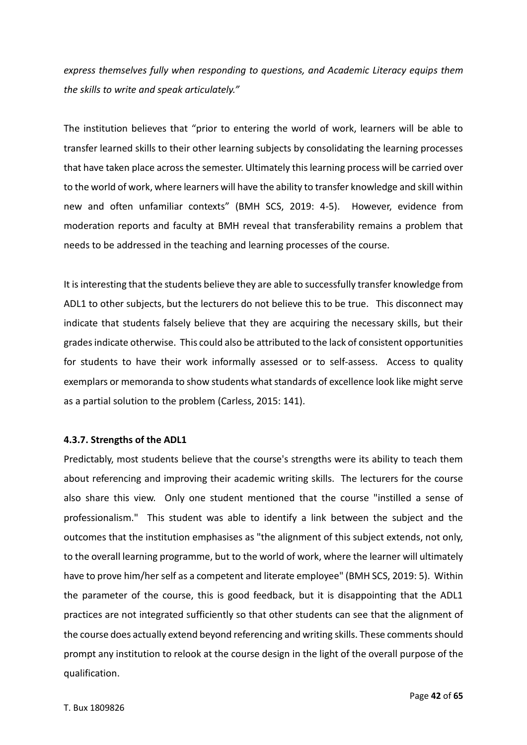*express themselves fully when responding to questions, and Academic Literacy equips them the skills to write and speak articulately."*

The institution believes that "prior to entering the world of work, learners will be able to transfer learned skills to their other learning subjects by consolidating the learning processes that have taken place across the semester. Ultimately this learning process will be carried over to the world of work, where learners will have the ability to transfer knowledge and skill within new and often unfamiliar contexts" (BMH SCS, 2019: 4-5). However, evidence from moderation reports and faculty at BMH reveal that transferability remains a problem that needs to be addressed in the teaching and learning processes of the course.

It is interesting that the students believe they are able to successfully transfer knowledge from ADL1 to other subjects, but the lecturers do not believe this to be true. This disconnect may indicate that students falsely believe that they are acquiring the necessary skills, but their grades indicate otherwise. This could also be attributed to the lack of consistent opportunities for students to have their work informally assessed or to self-assess. Access to quality exemplars or memoranda to show students what standards of excellence look like might serve as a partial solution to the problem (Carless, 2015: 141).

#### **4.3.7. Strengths of the ADL1**

Predictably, most students believe that the course's strengths were its ability to teach them about referencing and improving their academic writing skills. The lecturers for the course also share this view. Only one student mentioned that the course "instilled a sense of professionalism." This student was able to identify a link between the subject and the outcomes that the institution emphasises as "the alignment of this subject extends, not only, to the overall learning programme, but to the world of work, where the learner will ultimately have to prove him/her self as a competent and literate employee" (BMH SCS, 2019: 5). Within the parameter of the course, this is good feedback, but it is disappointing that the ADL1 practices are not integrated sufficiently so that other students can see that the alignment of the course does actually extend beyond referencing and writing skills. These comments should prompt any institution to relook at the course design in the light of the overall purpose of the qualification.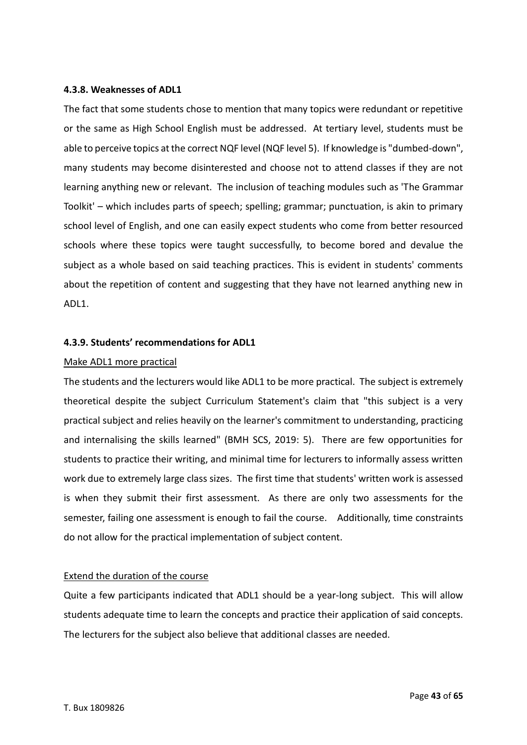#### **4.3.8. Weaknesses of ADL1**

The fact that some students chose to mention that many topics were redundant or repetitive or the same as High School English must be addressed. At tertiary level, students must be able to perceive topics at the correct NQF level (NQF level 5). If knowledge is "dumbed-down", many students may become disinterested and choose not to attend classes if they are not learning anything new or relevant. The inclusion of teaching modules such as 'The Grammar Toolkit' – which includes parts of speech; spelling; grammar; punctuation, is akin to primary school level of English, and one can easily expect students who come from better resourced schools where these topics were taught successfully, to become bored and devalue the subject as a whole based on said teaching practices. This is evident in students' comments about the repetition of content and suggesting that they have not learned anything new in ADL1.

#### **4.3.9. Students' recommendations for ADL1**

#### Make ADL1 more practical

The students and the lecturers would like ADL1 to be more practical. The subject is extremely theoretical despite the subject Curriculum Statement's claim that "this subject is a very practical subject and relies heavily on the learner's commitment to understanding, practicing and internalising the skills learned" (BMH SCS, 2019: 5). There are few opportunities for students to practice their writing, and minimal time for lecturers to informally assess written work due to extremely large class sizes. The first time that students' written work is assessed is when they submit their first assessment. As there are only two assessments for the semester, failing one assessment is enough to fail the course. Additionally, time constraints do not allow for the practical implementation of subject content.

#### Extend the duration of the course

Quite a few participants indicated that ADL1 should be a year-long subject. This will allow students adequate time to learn the concepts and practice their application of said concepts. The lecturers for the subject also believe that additional classes are needed.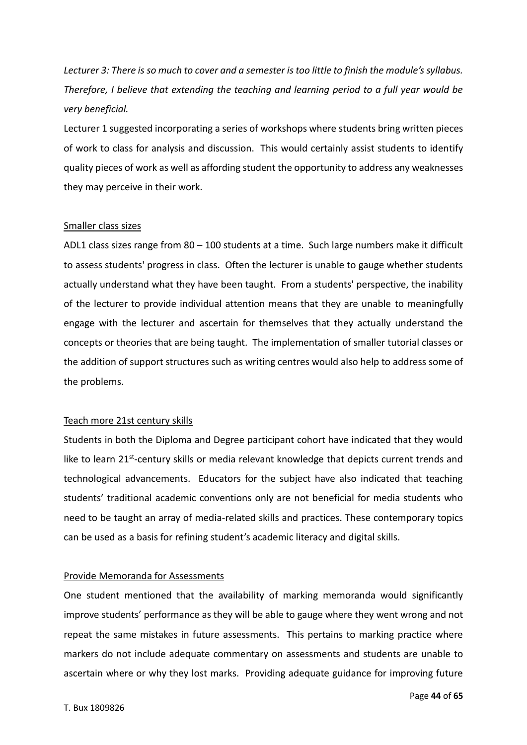*Lecturer 3: There is so much to cover and a semester is too little to finish the module's syllabus. Therefore, I believe that extending the teaching and learning period to a full year would be very beneficial.*

Lecturer 1 suggested incorporating a series of workshops where students bring written pieces of work to class for analysis and discussion. This would certainly assist students to identify quality pieces of work as well as affording student the opportunity to address any weaknesses they may perceive in their work.

#### Smaller class sizes

ADL1 class sizes range from 80 – 100 students at a time. Such large numbers make it difficult to assess students' progress in class. Often the lecturer is unable to gauge whether students actually understand what they have been taught. From a students' perspective, the inability of the lecturer to provide individual attention means that they are unable to meaningfully engage with the lecturer and ascertain for themselves that they actually understand the concepts or theories that are being taught. The implementation of smaller tutorial classes or the addition of support structures such as writing centres would also help to address some of the problems.

#### Teach more 21st century skills

Students in both the Diploma and Degree participant cohort have indicated that they would like to learn 21<sup>st</sup>-century skills or media relevant knowledge that depicts current trends and technological advancements. Educators for the subject have also indicated that teaching students' traditional academic conventions only are not beneficial for media students who need to be taught an array of media-related skills and practices. These contemporary topics can be used as a basis for refining student's academic literacy and digital skills.

#### Provide Memoranda for Assessments

One student mentioned that the availability of marking memoranda would significantly improve students' performance as they will be able to gauge where they went wrong and not repeat the same mistakes in future assessments. This pertains to marking practice where markers do not include adequate commentary on assessments and students are unable to ascertain where or why they lost marks. Providing adequate guidance for improving future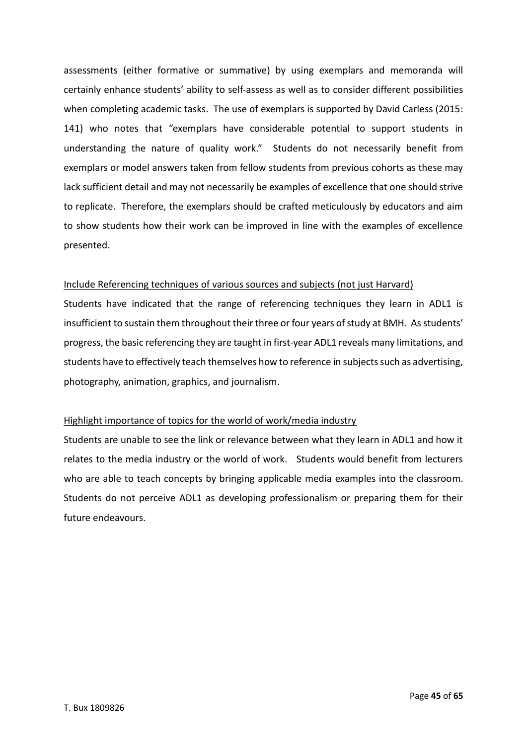assessments (either formative or summative) by using exemplars and memoranda will certainly enhance students' ability to self-assess as well as to consider different possibilities when completing academic tasks. The use of exemplars is supported by David Carless (2015: 141) who notes that "exemplars have considerable potential to support students in understanding the nature of quality work." Students do not necessarily benefit from exemplars or model answers taken from fellow students from previous cohorts as these may lack sufficient detail and may not necessarily be examples of excellence that one should strive to replicate. Therefore, the exemplars should be crafted meticulously by educators and aim to show students how their work can be improved in line with the examples of excellence presented.

#### Include Referencing techniques of various sources and subjects (not just Harvard)

Students have indicated that the range of referencing techniques they learn in ADL1 is insufficient to sustain them throughout their three or four years of study at BMH. As students' progress, the basic referencing they are taught in first-year ADL1 reveals many limitations, and students have to effectively teach themselves how to reference in subjects such as advertising, photography, animation, graphics, and journalism.

#### Highlight importance of topics for the world of work/media industry

Students are unable to see the link or relevance between what they learn in ADL1 and how it relates to the media industry or the world of work. Students would benefit from lecturers who are able to teach concepts by bringing applicable media examples into the classroom. Students do not perceive ADL1 as developing professionalism or preparing them for their future endeavours.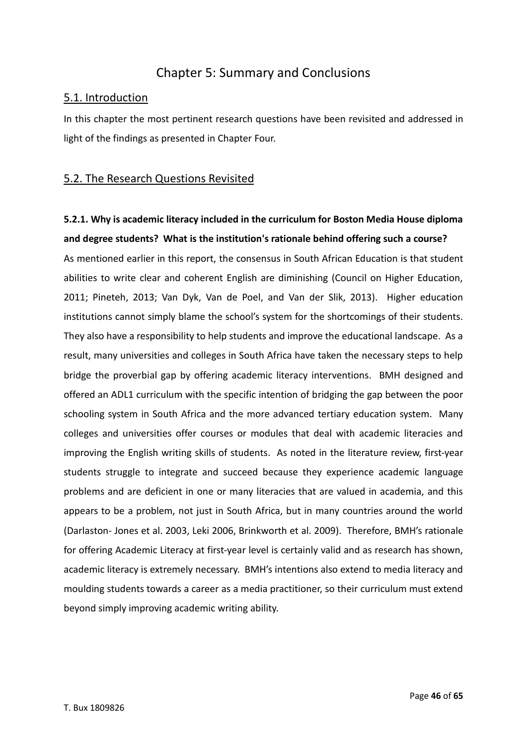## Chapter 5: Summary and Conclusions

## 5.1. Introduction

In this chapter the most pertinent research questions have been revisited and addressed in light of the findings as presented in Chapter Four.

## 5.2. The Research Questions Revisited

# **5.2.1. Why is academic literacy included in the curriculum for Boston Media House diploma and degree students? What is the institution's rationale behind offering such a course?** As mentioned earlier in this report, the consensus in South African Education is that student abilities to write clear and coherent English are diminishing (Council on Higher Education,

2011; Pineteh, 2013; Van Dyk, Van de Poel, and Van der Slik, 2013). Higher education institutions cannot simply blame the school's system for the shortcomings of their students. They also have a responsibility to help students and improve the educational landscape. As a result, many universities and colleges in South Africa have taken the necessary steps to help bridge the proverbial gap by offering academic literacy interventions. BMH designed and offered an ADL1 curriculum with the specific intention of bridging the gap between the poor schooling system in South Africa and the more advanced tertiary education system. Many colleges and universities offer courses or modules that deal with academic literacies and improving the English writing skills of students. As noted in the literature review, first-year students struggle to integrate and succeed because they experience academic language problems and are deficient in one or many literacies that are valued in academia, and this appears to be a problem, not just in South Africa, but in many countries around the world (Darlaston- Jones et al. 2003, Leki 2006, Brinkworth et al. 2009). Therefore, BMH's rationale for offering Academic Literacy at first-year level is certainly valid and as research has shown, academic literacy is extremely necessary. BMH's intentions also extend to media literacy and moulding students towards a career as a media practitioner, so their curriculum must extend beyond simply improving academic writing ability.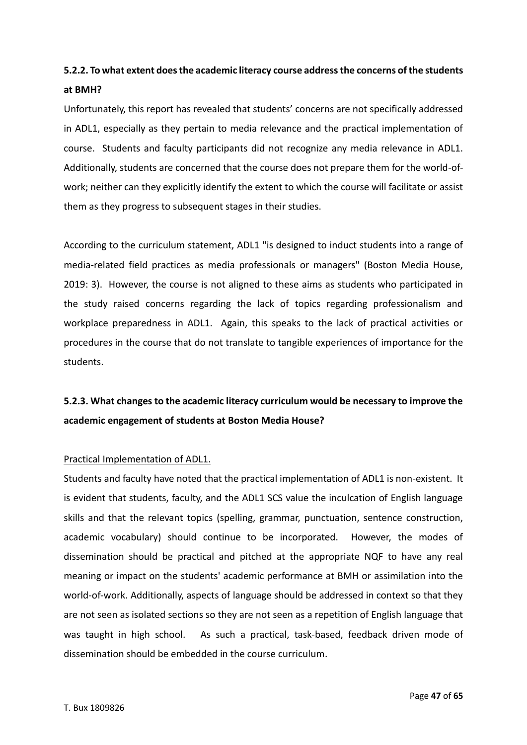# **5.2.2. To what extent does the academic literacy course address the concerns of the students at BMH?**

Unfortunately, this report has revealed that students' concerns are not specifically addressed in ADL1, especially as they pertain to media relevance and the practical implementation of course. Students and faculty participants did not recognize any media relevance in ADL1. Additionally, students are concerned that the course does not prepare them for the world-ofwork; neither can they explicitly identify the extent to which the course will facilitate or assist them as they progress to subsequent stages in their studies.

According to the curriculum statement, ADL1 "is designed to induct students into a range of media-related field practices as media professionals or managers" (Boston Media House, 2019: 3). However, the course is not aligned to these aims as students who participated in the study raised concerns regarding the lack of topics regarding professionalism and workplace preparedness in ADL1. Again, this speaks to the lack of practical activities or procedures in the course that do not translate to tangible experiences of importance for the students.

# **5.2.3. What changes to the academic literacy curriculum would be necessary to improve the academic engagement of students at Boston Media House?**

#### Practical Implementation of ADL1.

Students and faculty have noted that the practical implementation of ADL1 is non-existent. It is evident that students, faculty, and the ADL1 SCS value the inculcation of English language skills and that the relevant topics (spelling, grammar, punctuation, sentence construction, academic vocabulary) should continue to be incorporated. However, the modes of dissemination should be practical and pitched at the appropriate NQF to have any real meaning or impact on the students' academic performance at BMH or assimilation into the world-of-work. Additionally, aspects of language should be addressed in context so that they are not seen as isolated sections so they are not seen as a repetition of English language that was taught in high school. As such a practical, task-based, feedback driven mode of dissemination should be embedded in the course curriculum.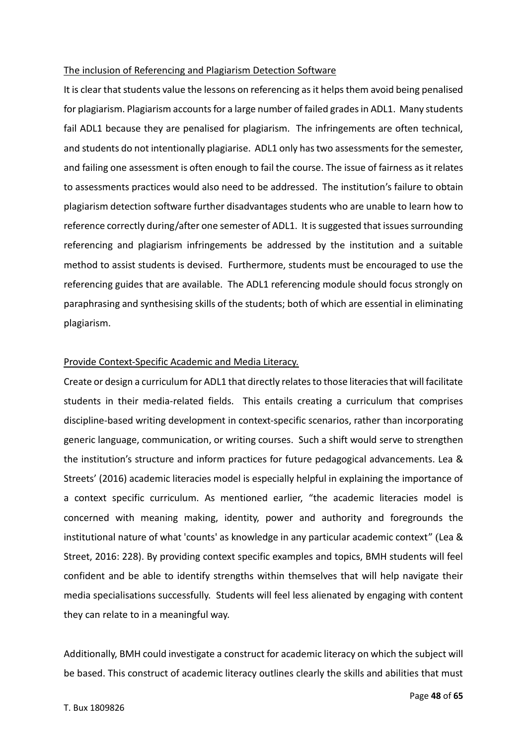#### The inclusion of Referencing and Plagiarism Detection Software

It is clear that students value the lessons on referencing as it helps them avoid being penalised for plagiarism. Plagiarism accounts for a large number of failed grades in ADL1. Many students fail ADL1 because they are penalised for plagiarism. The infringements are often technical, and students do not intentionally plagiarise. ADL1 only has two assessments for the semester, and failing one assessment is often enough to fail the course. The issue of fairness as it relates to assessments practices would also need to be addressed. The institution's failure to obtain plagiarism detection software further disadvantages students who are unable to learn how to reference correctly during/after one semester of ADL1. It is suggested that issues surrounding referencing and plagiarism infringements be addressed by the institution and a suitable method to assist students is devised. Furthermore, students must be encouraged to use the referencing guides that are available. The ADL1 referencing module should focus strongly on paraphrasing and synthesising skills of the students; both of which are essential in eliminating plagiarism.

#### Provide Context-Specific Academic and Media Literacy.

Create or design a curriculum for ADL1 that directly relates to those literacies that will facilitate students in their media-related fields. This entails creating a curriculum that comprises discipline-based writing development in context-specific scenarios, rather than incorporating generic language, communication, or writing courses. Such a shift would serve to strengthen the institution's structure and inform practices for future pedagogical advancements. Lea & Streets' (2016) academic literacies model is especially helpful in explaining the importance of a context specific curriculum. As mentioned earlier, "the academic literacies model is concerned with meaning making, identity, power and authority and foregrounds the institutional nature of what 'counts' as knowledge in any particular academic context" (Lea & Street, 2016: 228). By providing context specific examples and topics, BMH students will feel confident and be able to identify strengths within themselves that will help navigate their media specialisations successfully. Students will feel less alienated by engaging with content they can relate to in a meaningful way.

Additionally, BMH could investigate a construct for academic literacy on which the subject will be based. This construct of academic literacy outlines clearly the skills and abilities that must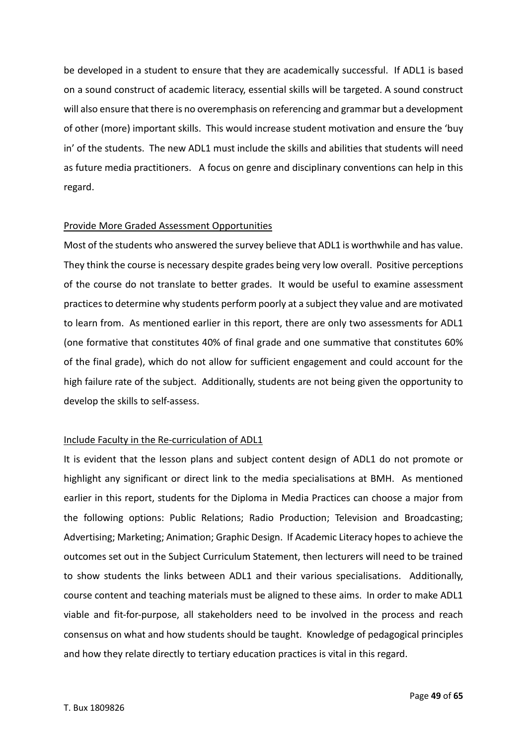be developed in a student to ensure that they are academically successful. If ADL1 is based on a sound construct of academic literacy, essential skills will be targeted. A sound construct will also ensure that there is no overemphasis on referencing and grammar but a development of other (more) important skills. This would increase student motivation and ensure the 'buy in' of the students. The new ADL1 must include the skills and abilities that students will need as future media practitioners. A focus on genre and disciplinary conventions can help in this regard.

#### Provide More Graded Assessment Opportunities

Most of the students who answered the survey believe that ADL1 is worthwhile and has value. They think the course is necessary despite grades being very low overall. Positive perceptions of the course do not translate to better grades. It would be useful to examine assessment practices to determine why students perform poorly at a subject they value and are motivated to learn from. As mentioned earlier in this report, there are only two assessments for ADL1 (one formative that constitutes 40% of final grade and one summative that constitutes 60% of the final grade), which do not allow for sufficient engagement and could account for the high failure rate of the subject. Additionally, students are not being given the opportunity to develop the skills to self-assess.

#### Include Faculty in the Re-curriculation of ADL1

It is evident that the lesson plans and subject content design of ADL1 do not promote or highlight any significant or direct link to the media specialisations at BMH. As mentioned earlier in this report, students for the Diploma in Media Practices can choose a major from the following options: Public Relations; Radio Production; Television and Broadcasting; Advertising; Marketing; Animation; Graphic Design. If Academic Literacy hopes to achieve the outcomes set out in the Subject Curriculum Statement, then lecturers will need to be trained to show students the links between ADL1 and their various specialisations. Additionally, course content and teaching materials must be aligned to these aims. In order to make ADL1 viable and fit-for-purpose, all stakeholders need to be involved in the process and reach consensus on what and how students should be taught. Knowledge of pedagogical principles and how they relate directly to tertiary education practices is vital in this regard.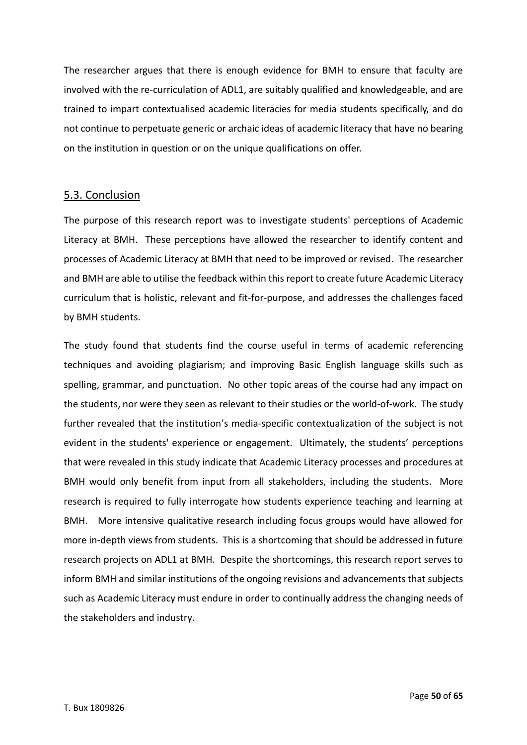The researcher argues that there is enough evidence for BMH to ensure that faculty are involved with the re-curriculation of ADL1, are suitably qualified and knowledgeable, and are trained to impart contextualised academic literacies for media students specifically, and do not continue to perpetuate generic or archaic ideas of academic literacy that have no bearing on the institution in question or on the unique qualifications on offer.

## 5.3. Conclusion

The purpose of this research report was to investigate students' perceptions of Academic Literacy at BMH. These perceptions have allowed the researcher to identify content and processes of Academic Literacy at BMH that need to be improved or revised. The researcher and BMH are able to utilise the feedback within this report to create future Academic Literacy curriculum that is holistic, relevant and fit-for-purpose, and addresses the challenges faced by BMH students.

The study found that students find the course useful in terms of academic referencing techniques and avoiding plagiarism; and improving Basic English language skills such as spelling, grammar, and punctuation. No other topic areas of the course had any impact on the students, nor were they seen as relevant to their studies or the world-of-work. The study further revealed that the institution's media-specific contextualization of the subject is not evident in the students' experience or engagement. Ultimately, the students' perceptions that were revealed in this study indicate that Academic Literacy processes and procedures at BMH would only benefit from input from all stakeholders, including the students. More research is required to fully interrogate how students experience teaching and learning at BMH. More intensive qualitative research including focus groups would have allowed for more in-depth views from students. This is a shortcoming that should be addressed in future research projects on ADL1 at BMH. Despite the shortcomings, this research report serves to inform BMH and similar institutions of the ongoing revisions and advancements that subjects such as Academic Literacy must endure in order to continually address the changing needs of the stakeholders and industry.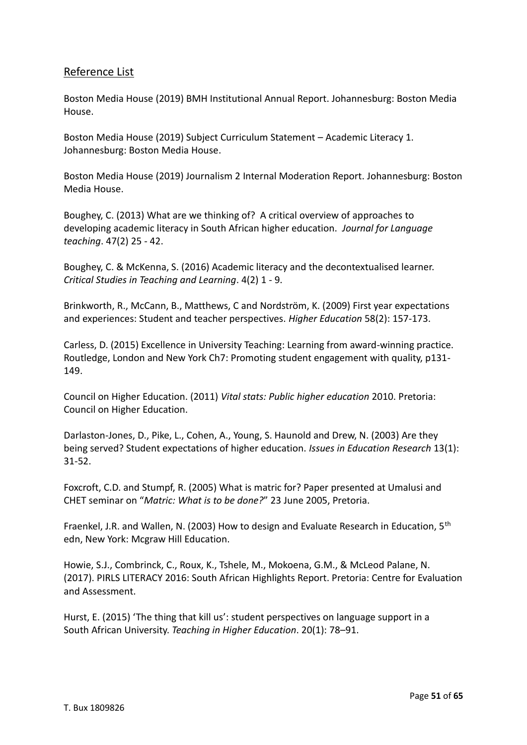## Reference List

Boston Media House (2019) BMH Institutional Annual Report. Johannesburg: Boston Media House.

Boston Media House (2019) Subject Curriculum Statement – Academic Literacy 1. Johannesburg: Boston Media House.

Boston Media House (2019) Journalism 2 Internal Moderation Report. Johannesburg: Boston Media House.

Boughey, C. (2013) What are we thinking of? A critical overview of approaches to developing academic literacy in South African higher education. *Journal for Language teaching*. 47(2) 25 - 42.

Boughey, C. & McKenna, S. (2016) Academic literacy and the decontextualised learner. *Critical Studies in Teaching and Learning*. 4(2) 1 - 9.

Brinkworth, R., McCann, B., Matthews, C and Nordström, K. (2009) First year expectations and experiences: Student and teacher perspectives. *Higher Education* 58(2): 157-173.

Carless, D. (2015) Excellence in University Teaching: Learning from award-winning practice. Routledge, London and New York Ch7: Promoting student engagement with quality, p131- 149.

Council on Higher Education. (2011) *Vital stats: Public higher education* 2010. Pretoria: Council on Higher Education.

Darlaston-Jones, D., Pike, L., Cohen, A., Young, S. Haunold and Drew, N. (2003) Are they being served? Student expectations of higher education. *Issues in Education Research* 13(1): 31-52.

Foxcroft, C.D. and Stumpf, R. (2005) What is matric for? Paper presented at Umalusi and CHET seminar on "*Matric: What is to be done?*" 23 June 2005, Pretoria.

Fraenkel, J.R. and Wallen, N. (2003) How to design and Evaluate Research in Education, 5<sup>th</sup> edn, New York: Mcgraw Hill Education.

Howie, S.J., Combrinck, C., Roux, K., Tshele, M., Mokoena, G.M., & McLeod Palane, N. (2017). PIRLS LITERACY 2016: South African Highlights Report. Pretoria: Centre for Evaluation and Assessment.

Hurst, E. (2015) 'The thing that kill us': student perspectives on language support in a South African University. *Teaching in Higher Education*. 20(1): 78–91.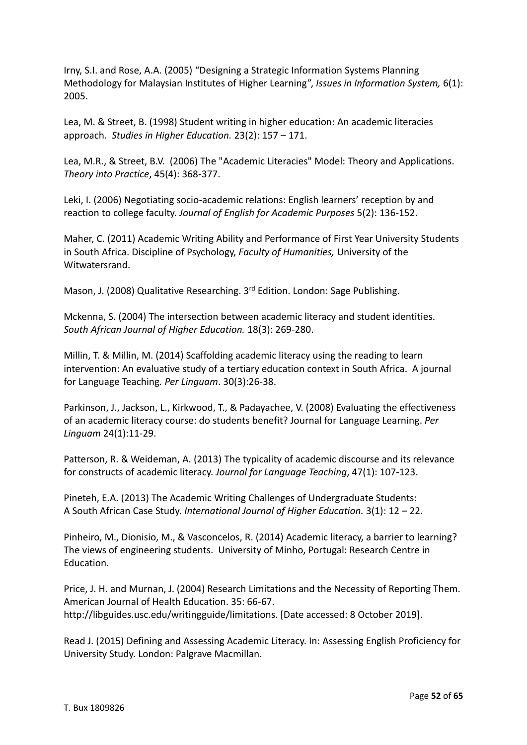Irny, S.I. and Rose, A.A. (2005) "Designing a Strategic Information Systems Planning Methodology for Malaysian Institutes of Higher Learning", *Issues in Information System,* 6(1): 2005.

Lea, M. & Street, B. (1998) Student writing in higher education: An academic literacies approach. *Studies in Higher Education.* 23(2): 157 – 171.

Lea, M.R., & Street, B.V. (2006) The "Academic Literacies" Model: Theory and Applications. *Theory into Practice*, 45(4): 368-377.

Leki, I. (2006) Negotiating socio-academic relations: English learners' reception by and reaction to college faculty. *Journal of English for Academic Purposes* 5(2): 136-152.

Maher, C. (2011) Academic Writing Ability and Performance of First Year University Students in South Africa. Discipline of Psychology, *Faculty of Humanities,* University of the Witwatersrand.

Mason, J. (2008) Qualitative Researching. 3<sup>rd</sup> Edition. London: Sage Publishing.

Mckenna, S. (2004) The intersection between academic literacy and student identities. *South African Journal of Higher Education.* 18(3): 269-280.

Millin, T. & Millin, M. (2014) Scaffolding academic literacy using the reading to learn intervention: An evaluative study of a tertiary education context in South Africa. A journal for Language Teaching*. Per Linguam*. 30(3):26-38.

Parkinson, J., Jackson, L., Kirkwood, T., & Padayachee, V. (2008) Evaluating the effectiveness of an academic literacy course: do students benefit? Journal for Language Learning. *Per Linguam* 24(1):11-29.

Patterson, R. & Weideman, A. (2013) The typicality of academic discourse and its relevance for constructs of academic literacy. *Journal for Language Teaching*, 47(1): 107-123.

Pineteh, E.A. (2013) The Academic Writing Challenges of Undergraduate Students: A South African Case Study. *International Journal of Higher Education.* 3(1): 12 – 22.

Pinheiro, M., Dionisio, M., & Vasconcelos, R. (2014) Academic literacy, a barrier to learning? The views of engineering students. University of Minho, Portugal: Research Centre in Education.

Price, J. H. and Murnan, J. (2004) Research Limitations and the Necessity of Reporting Them. American Journal of Health Education. 35: 66-67. http://libguides.usc.edu/writingguide/limitations. [Date accessed: 8 October 2019].

Read J. (2015) Defining and Assessing Academic Literacy. In: Assessing English Proficiency for University Study. London: Palgrave Macmillan.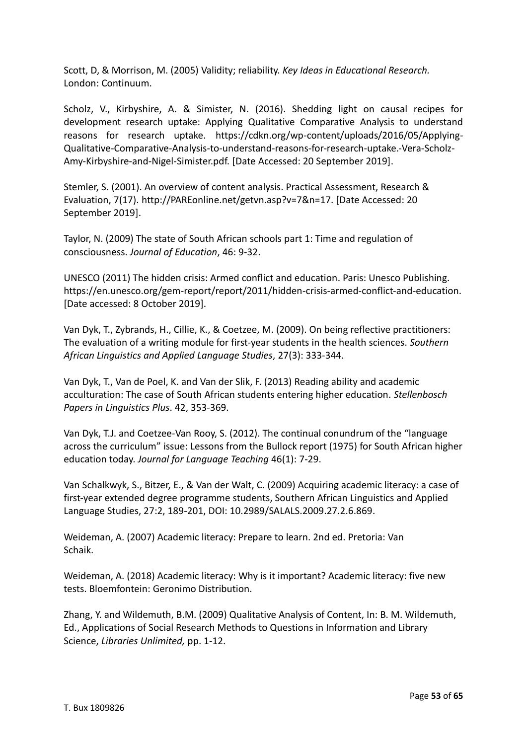Scott, D, & Morrison, M. (2005) Validity; reliability. *Key Ideas in Educational Research.* London: Continuum.

Scholz, V., Kirbyshire, A. & Simister, N. (2016). Shedding light on causal recipes for development research uptake: Applying Qualitative Comparative Analysis to understand reasons for research uptake. https://cdkn.org/wp-content/uploads/2016/05/Applying-Qualitative-Comparative-Analysis-to-understand-reasons-for-research-uptake.-Vera-Scholz-Amy-Kirbyshire-and-Nigel-Simister.pdf. [Date Accessed: 20 September 2019].

Stemler, S. (2001). An overview of content analysis. Practical Assessment, Research & Evaluation, 7(17). http://PAREonline.net/getvn.asp?v=7&n=17. [Date Accessed: 20 September 2019].

Taylor, N. (2009) The state of South African schools part 1: Time and regulation of consciousness. *Journal of Education*, 46: 9-32.

UNESCO (2011) The hidden crisis: Armed conflict and education. Paris: Unesco Publishing. https://en.unesco.org/gem-report/report/2011/hidden-crisis-armed-conflict-and-education. [Date accessed: 8 October 2019].

Van Dyk, T., Zybrands, H., Cillie, K., & Coetzee, M. (2009). On being reflective practitioners: The evaluation of a writing module for first-year students in the health sciences. *Southern African Linguistics and Applied Language Studies*, 27(3): 333-344.

Van Dyk, T., Van de Poel, K. and Van der Slik, F. (2013) Reading ability and academic acculturation: The case of South African students entering higher education. *Stellenbosch Papers in Linguistics Plus*. 42, 353-369.

Van Dyk, T.J. and Coetzee-Van Rooy, S. (2012). The continual conundrum of the "language across the curriculum" issue: Lessons from the Bullock report (1975) for South African higher education today. *Journal for Language Teaching* 46(1): 7-29.

Van Schalkwyk, S., Bitzer, E., & Van der Walt, C. (2009) Acquiring academic literacy: a case of first-year extended degree programme students, Southern African Linguistics and Applied Language Studies, 27:2, 189-201, DOI: 10.2989/SALALS.2009.27.2.6.869.

Weideman, A. (2007) Academic literacy: Prepare to learn. 2nd ed. Pretoria: Van Schaik.

Weideman, A. (2018) Academic literacy: Why is it important? Academic literacy: five new tests. Bloemfontein: Geronimo Distribution.

Zhang, Y. and Wildemuth, B.M. (2009) Qualitative Analysis of Content, In: B. M. Wildemuth, Ed., Applications of Social Research Methods to Questions in Information and Library Science, *Libraries Unlimited,* pp. 1-12.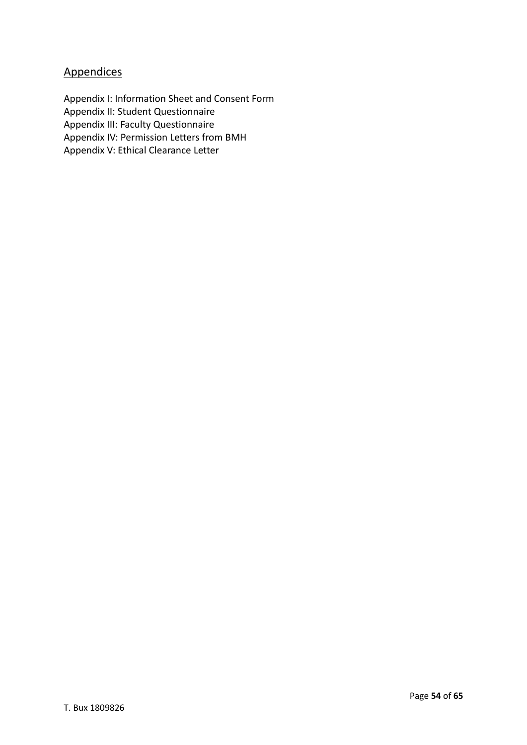## **Appendices**

Appendix I: Information Sheet and Consent Form Appendix II: Student Questionnaire Appendix III: Faculty Questionnaire Appendix IV: Permission Letters from BMH Appendix V: Ethical Clearance Letter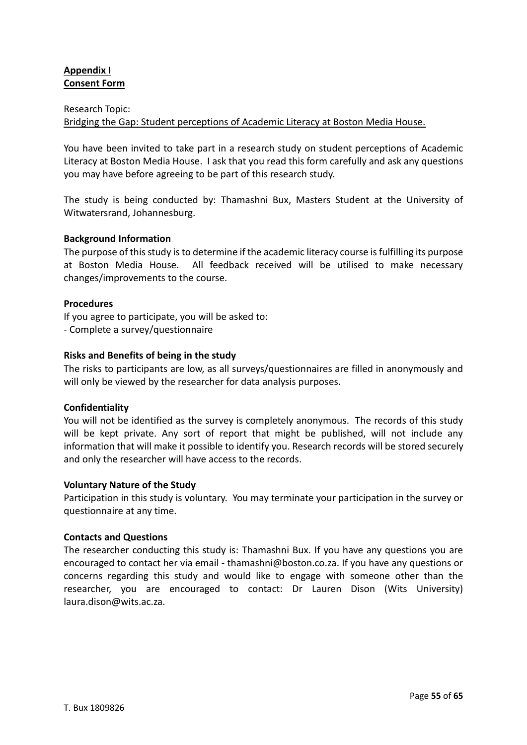## **Appendix I Consent Form**

#### Research Topic:

## Bridging the Gap: Student perceptions of Academic Literacy at Boston Media House.

You have been invited to take part in a research study on student perceptions of Academic Literacy at Boston Media House. I ask that you read this form carefully and ask any questions you may have before agreeing to be part of this research study.

The study is being conducted by: Thamashni Bux, Masters Student at the University of Witwatersrand, Johannesburg.

#### **Background Information**

The purpose of this study is to determine if the academic literacy course is fulfilling its purpose at Boston Media House. All feedback received will be utilised to make necessary changes/improvements to the course.

#### **Procedures**

If you agree to participate, you will be asked to: - Complete a survey/questionnaire

#### **Risks and Benefits of being in the study**

The risks to participants are low, as all surveys/questionnaires are filled in anonymously and will only be viewed by the researcher for data analysis purposes.

#### **Confidentiality**

You will not be identified as the survey is completely anonymous. The records of this study will be kept private. Any sort of report that might be published, will not include any information that will make it possible to identify you. Research records will be stored securely and only the researcher will have access to the records.

#### **Voluntary Nature of the Study**

Participation in this study is voluntary. You may terminate your participation in the survey or questionnaire at any time.

#### **Contacts and Questions**

The researcher conducting this study is: Thamashni Bux. If you have any questions you are encouraged to contact her via email - thamashni@boston.co.za. If you have any questions or concerns regarding this study and would like to engage with someone other than the researcher, you are encouraged to contact: Dr Lauren Dison (Wits University) laura.dison@wits.ac.za.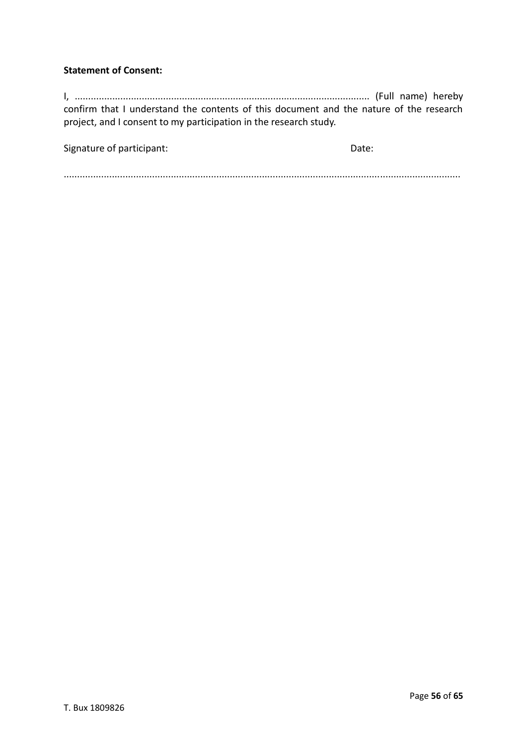## **Statement of Consent:**

I, .............................................................................................................. (Full name) hereby confirm that I understand the contents of this document and the nature of the research project, and I consent to my participation in the research study.

Signature of participant: Date: Date: Date:

....................................................................................................................................................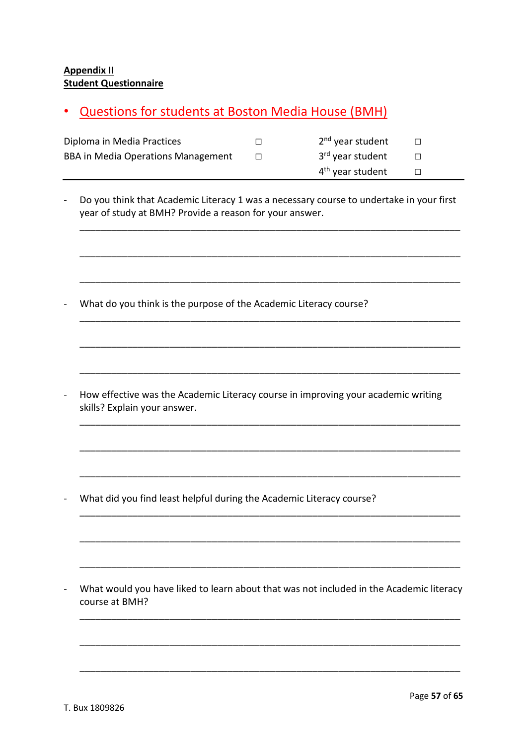## **Appendix II Student Questionnaire**

## • Questions for students at Boston Media House (BMH)

| Diploma in Media Practices                | 2 <sup>nd</sup> year student |  |
|-------------------------------------------|------------------------------|--|
| <b>BBA in Media Operations Management</b> | 3 <sup>rd</sup> year student |  |
|                                           | 4 <sup>th</sup> year student |  |

- Do you think that Academic Literacy 1 was a necessary course to undertake in your first year of study at BMH? Provide a reason for your answer.

\_\_\_\_\_\_\_\_\_\_\_\_\_\_\_\_\_\_\_\_\_\_\_\_\_\_\_\_\_\_\_\_\_\_\_\_\_\_\_\_\_\_\_\_\_\_\_\_\_\_\_\_\_\_\_\_\_\_\_\_\_\_\_\_\_\_\_\_\_\_\_\_

\_\_\_\_\_\_\_\_\_\_\_\_\_\_\_\_\_\_\_\_\_\_\_\_\_\_\_\_\_\_\_\_\_\_\_\_\_\_\_\_\_\_\_\_\_\_\_\_\_\_\_\_\_\_\_\_\_\_\_\_\_\_\_\_\_\_\_\_\_\_\_\_

\_\_\_\_\_\_\_\_\_\_\_\_\_\_\_\_\_\_\_\_\_\_\_\_\_\_\_\_\_\_\_\_\_\_\_\_\_\_\_\_\_\_\_\_\_\_\_\_\_\_\_\_\_\_\_\_\_\_\_\_\_\_\_\_\_\_\_\_\_\_\_\_

\_\_\_\_\_\_\_\_\_\_\_\_\_\_\_\_\_\_\_\_\_\_\_\_\_\_\_\_\_\_\_\_\_\_\_\_\_\_\_\_\_\_\_\_\_\_\_\_\_\_\_\_\_\_\_\_\_\_\_\_\_\_\_\_\_\_\_\_\_\_\_\_

\_\_\_\_\_\_\_\_\_\_\_\_\_\_\_\_\_\_\_\_\_\_\_\_\_\_\_\_\_\_\_\_\_\_\_\_\_\_\_\_\_\_\_\_\_\_\_\_\_\_\_\_\_\_\_\_\_\_\_\_\_\_\_\_\_\_\_\_\_\_\_\_

\_\_\_\_\_\_\_\_\_\_\_\_\_\_\_\_\_\_\_\_\_\_\_\_\_\_\_\_\_\_\_\_\_\_\_\_\_\_\_\_\_\_\_\_\_\_\_\_\_\_\_\_\_\_\_\_\_\_\_\_\_\_\_\_\_\_\_\_\_\_\_\_

\_\_\_\_\_\_\_\_\_\_\_\_\_\_\_\_\_\_\_\_\_\_\_\_\_\_\_\_\_\_\_\_\_\_\_\_\_\_\_\_\_\_\_\_\_\_\_\_\_\_\_\_\_\_\_\_\_\_\_\_\_\_\_\_\_\_\_\_\_\_\_\_

\_\_\_\_\_\_\_\_\_\_\_\_\_\_\_\_\_\_\_\_\_\_\_\_\_\_\_\_\_\_\_\_\_\_\_\_\_\_\_\_\_\_\_\_\_\_\_\_\_\_\_\_\_\_\_\_\_\_\_\_\_\_\_\_\_\_\_\_\_\_\_\_

\_\_\_\_\_\_\_\_\_\_\_\_\_\_\_\_\_\_\_\_\_\_\_\_\_\_\_\_\_\_\_\_\_\_\_\_\_\_\_\_\_\_\_\_\_\_\_\_\_\_\_\_\_\_\_\_\_\_\_\_\_\_\_\_\_\_\_\_\_\_\_\_

\_\_\_\_\_\_\_\_\_\_\_\_\_\_\_\_\_\_\_\_\_\_\_\_\_\_\_\_\_\_\_\_\_\_\_\_\_\_\_\_\_\_\_\_\_\_\_\_\_\_\_\_\_\_\_\_\_\_\_\_\_\_\_\_\_\_\_\_\_\_\_\_

\_\_\_\_\_\_\_\_\_\_\_\_\_\_\_\_\_\_\_\_\_\_\_\_\_\_\_\_\_\_\_\_\_\_\_\_\_\_\_\_\_\_\_\_\_\_\_\_\_\_\_\_\_\_\_\_\_\_\_\_\_\_\_\_\_\_\_\_\_\_\_\_

\_\_\_\_\_\_\_\_\_\_\_\_\_\_\_\_\_\_\_\_\_\_\_\_\_\_\_\_\_\_\_\_\_\_\_\_\_\_\_\_\_\_\_\_\_\_\_\_\_\_\_\_\_\_\_\_\_\_\_\_\_\_\_\_\_\_\_\_\_\_\_\_

\_\_\_\_\_\_\_\_\_\_\_\_\_\_\_\_\_\_\_\_\_\_\_\_\_\_\_\_\_\_\_\_\_\_\_\_\_\_\_\_\_\_\_\_\_\_\_\_\_\_\_\_\_\_\_\_\_\_\_\_\_\_\_\_\_\_\_\_\_\_\_\_

\_\_\_\_\_\_\_\_\_\_\_\_\_\_\_\_\_\_\_\_\_\_\_\_\_\_\_\_\_\_\_\_\_\_\_\_\_\_\_\_\_\_\_\_\_\_\_\_\_\_\_\_\_\_\_\_\_\_\_\_\_\_\_\_\_\_\_\_\_\_\_\_

\_\_\_\_\_\_\_\_\_\_\_\_\_\_\_\_\_\_\_\_\_\_\_\_\_\_\_\_\_\_\_\_\_\_\_\_\_\_\_\_\_\_\_\_\_\_\_\_\_\_\_\_\_\_\_\_\_\_\_\_\_\_\_\_\_\_\_\_\_\_\_\_

- What do you think is the purpose of the Academic Literacy course?

- How effective was the Academic Literacy course in improving your academic writing skills? Explain your answer.

- What did you find least helpful during the Academic Literacy course?

- What would you have liked to learn about that was not included in the Academic literacy course at BMH?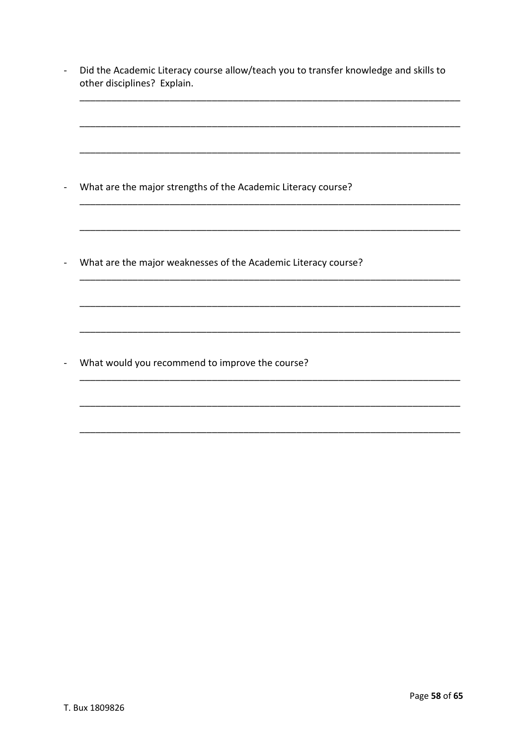| What are the major strengths of the Academic Literacy course?  |  |  |
|----------------------------------------------------------------|--|--|
|                                                                |  |  |
| What are the major weaknesses of the Academic Literacy course? |  |  |
|                                                                |  |  |
|                                                                |  |  |
| What would you recommend to improve the course?                |  |  |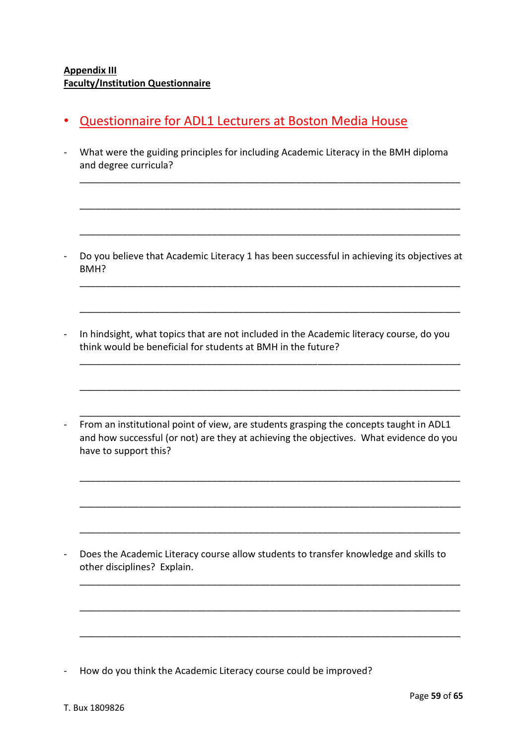## **Appendix III Faculty/Institution Questionnaire**

- Questionnaire for ADL1 Lecturers at Boston Media House
- What were the guiding principles for including Academic Literacy in the BMH diploma and degree curricula?

\_\_\_\_\_\_\_\_\_\_\_\_\_\_\_\_\_\_\_\_\_\_\_\_\_\_\_\_\_\_\_\_\_\_\_\_\_\_\_\_\_\_\_\_\_\_\_\_\_\_\_\_\_\_\_\_\_\_\_\_\_\_\_\_\_\_\_\_\_\_\_\_

\_\_\_\_\_\_\_\_\_\_\_\_\_\_\_\_\_\_\_\_\_\_\_\_\_\_\_\_\_\_\_\_\_\_\_\_\_\_\_\_\_\_\_\_\_\_\_\_\_\_\_\_\_\_\_\_\_\_\_\_\_\_\_\_\_\_\_\_\_\_\_\_

\_\_\_\_\_\_\_\_\_\_\_\_\_\_\_\_\_\_\_\_\_\_\_\_\_\_\_\_\_\_\_\_\_\_\_\_\_\_\_\_\_\_\_\_\_\_\_\_\_\_\_\_\_\_\_\_\_\_\_\_\_\_\_\_\_\_\_\_\_\_\_\_

\_\_\_\_\_\_\_\_\_\_\_\_\_\_\_\_\_\_\_\_\_\_\_\_\_\_\_\_\_\_\_\_\_\_\_\_\_\_\_\_\_\_\_\_\_\_\_\_\_\_\_\_\_\_\_\_\_\_\_\_\_\_\_\_\_\_\_\_\_\_\_\_

\_\_\_\_\_\_\_\_\_\_\_\_\_\_\_\_\_\_\_\_\_\_\_\_\_\_\_\_\_\_\_\_\_\_\_\_\_\_\_\_\_\_\_\_\_\_\_\_\_\_\_\_\_\_\_\_\_\_\_\_\_\_\_\_\_\_\_\_\_\_\_\_

\_\_\_\_\_\_\_\_\_\_\_\_\_\_\_\_\_\_\_\_\_\_\_\_\_\_\_\_\_\_\_\_\_\_\_\_\_\_\_\_\_\_\_\_\_\_\_\_\_\_\_\_\_\_\_\_\_\_\_\_\_\_\_\_\_\_\_\_\_\_\_\_

\_\_\_\_\_\_\_\_\_\_\_\_\_\_\_\_\_\_\_\_\_\_\_\_\_\_\_\_\_\_\_\_\_\_\_\_\_\_\_\_\_\_\_\_\_\_\_\_\_\_\_\_\_\_\_\_\_\_\_\_\_\_\_\_\_\_\_\_\_\_\_\_

\_\_\_\_\_\_\_\_\_\_\_\_\_\_\_\_\_\_\_\_\_\_\_\_\_\_\_\_\_\_\_\_\_\_\_\_\_\_\_\_\_\_\_\_\_\_\_\_\_\_\_\_\_\_\_\_\_\_\_\_\_\_\_\_\_\_\_\_\_\_\_\_

\_\_\_\_\_\_\_\_\_\_\_\_\_\_\_\_\_\_\_\_\_\_\_\_\_\_\_\_\_\_\_\_\_\_\_\_\_\_\_\_\_\_\_\_\_\_\_\_\_\_\_\_\_\_\_\_\_\_\_\_\_\_\_\_\_\_\_\_\_\_\_\_

\_\_\_\_\_\_\_\_\_\_\_\_\_\_\_\_\_\_\_\_\_\_\_\_\_\_\_\_\_\_\_\_\_\_\_\_\_\_\_\_\_\_\_\_\_\_\_\_\_\_\_\_\_\_\_\_\_\_\_\_\_\_\_\_\_\_\_\_\_\_\_\_

\_\_\_\_\_\_\_\_\_\_\_\_\_\_\_\_\_\_\_\_\_\_\_\_\_\_\_\_\_\_\_\_\_\_\_\_\_\_\_\_\_\_\_\_\_\_\_\_\_\_\_\_\_\_\_\_\_\_\_\_\_\_\_\_\_\_\_\_\_\_\_\_

\_\_\_\_\_\_\_\_\_\_\_\_\_\_\_\_\_\_\_\_\_\_\_\_\_\_\_\_\_\_\_\_\_\_\_\_\_\_\_\_\_\_\_\_\_\_\_\_\_\_\_\_\_\_\_\_\_\_\_\_\_\_\_\_\_\_\_\_\_\_\_\_

\_\_\_\_\_\_\_\_\_\_\_\_\_\_\_\_\_\_\_\_\_\_\_\_\_\_\_\_\_\_\_\_\_\_\_\_\_\_\_\_\_\_\_\_\_\_\_\_\_\_\_\_\_\_\_\_\_\_\_\_\_\_\_\_\_\_\_\_\_\_\_\_

\_\_\_\_\_\_\_\_\_\_\_\_\_\_\_\_\_\_\_\_\_\_\_\_\_\_\_\_\_\_\_\_\_\_\_\_\_\_\_\_\_\_\_\_\_\_\_\_\_\_\_\_\_\_\_\_\_\_\_\_\_\_\_\_\_\_\_\_\_\_\_\_

- Do you believe that Academic Literacy 1 has been successful in achieving its objectives at BMH?
- In hindsight, what topics that are not included in the Academic literacy course, do you think would be beneficial for students at BMH in the future?
- From an institutional point of view, are students grasping the concepts taught in ADL1 and how successful (or not) are they at achieving the objectives. What evidence do you have to support this?

- Does the Academic Literacy course allow students to transfer knowledge and skills to other disciplines? Explain.

- How do you think the Academic Literacy course could be improved?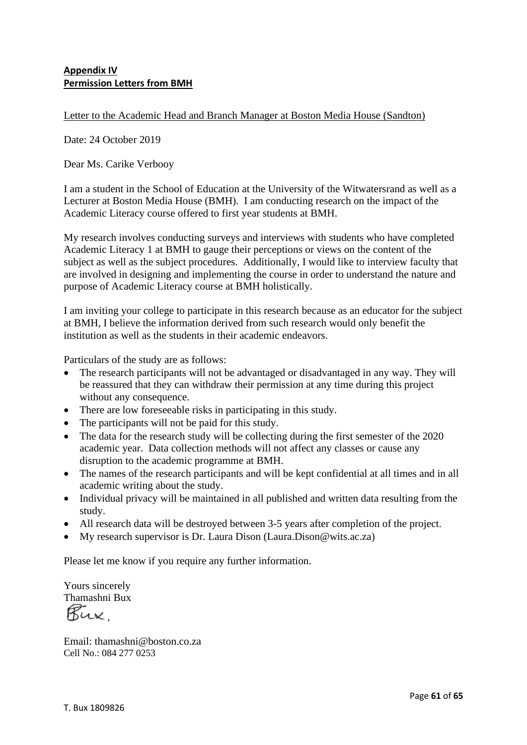## **Appendix IV Permission Letters from BMH**

Letter to the Academic Head and Branch Manager at Boston Media House (Sandton)

Date: 24 October 2019

Dear Ms. Carike Verbooy

I am a student in the School of Education at the University of the Witwatersrand as well as a Lecturer at Boston Media House (BMH). I am conducting research on the impact of the Academic Literacy course offered to first year students at BMH.

My research involves conducting surveys and interviews with students who have completed Academic Literacy 1 at BMH to gauge their perceptions or views on the content of the subject as well as the subject procedures. Additionally, I would like to interview faculty that are involved in designing and implementing the course in order to understand the nature and purpose of Academic Literacy course at BMH holistically.

I am inviting your college to participate in this research because as an educator for the subject at BMH, I believe the information derived from such research would only benefit the institution as well as the students in their academic endeavors.

Particulars of the study are as follows:

- The research participants will not be advantaged or disadvantaged in any way. They will be reassured that they can withdraw their permission at any time during this project without any consequence.
- There are low foreseeable risks in participating in this study.
- The participants will not be paid for this study.
- The data for the research study will be collecting during the first semester of the 2020 academic year. Data collection methods will not affect any classes or cause any disruption to the academic programme at BMH.
- The names of the research participants and will be kept confidential at all times and in all academic writing about the study.
- Individual privacy will be maintained in all published and written data resulting from the study.
- All research data will be destroyed between 3-5 years after completion of the project.
- My research supervisor is Dr. Laura Dison (Laura.Dison @wits.ac.za)

Please let me know if you require any further information.

Yours sincerely Thamashni Bux

Rux

Email: thamashni@boston.co.za Cell No.: 084 277 0253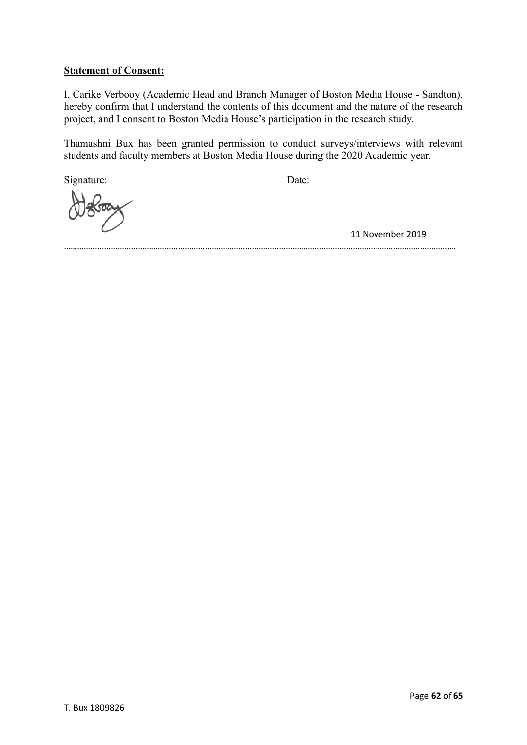## **Statement of Consent:**

I, Carike Verbooy (Academic Head and Branch Manager of Boston Media House - Sandton), hereby confirm that I understand the contents of this document and the nature of the research project, and I consent to Boston Media House's participation in the research study.

Thamashni Bux has been granted permission to conduct surveys/interviews with relevant students and faculty members at Boston Media House during the 2020 Academic year.

Signature: Date:

11 November 2019

………………………………………………………………………………………………………………………………………………………….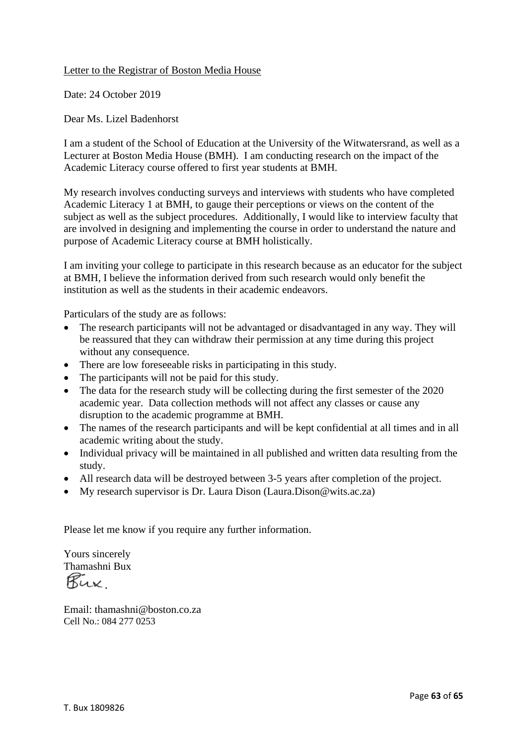#### Letter to the Registrar of Boston Media House

Date: 24 October 2019

Dear Ms. Lizel Badenhorst

I am a student of the School of Education at the University of the Witwatersrand, as well as a Lecturer at Boston Media House (BMH). I am conducting research on the impact of the Academic Literacy course offered to first year students at BMH.

My research involves conducting surveys and interviews with students who have completed Academic Literacy 1 at BMH, to gauge their perceptions or views on the content of the subject as well as the subject procedures. Additionally, I would like to interview faculty that are involved in designing and implementing the course in order to understand the nature and purpose of Academic Literacy course at BMH holistically.

I am inviting your college to participate in this research because as an educator for the subject at BMH, I believe the information derived from such research would only benefit the institution as well as the students in their academic endeavors.

Particulars of the study are as follows:

- The research participants will not be advantaged or disadvantaged in any way. They will be reassured that they can withdraw their permission at any time during this project without any consequence.
- There are low fore seeable risks in participating in this study.
- The participants will not be paid for this study.
- The data for the research study will be collecting during the first semester of the 2020 academic year. Data collection methods will not affect any classes or cause any disruption to the academic programme at BMH.
- The names of the research participants and will be kept confidential at all times and in all academic writing about the study.
- Individual privacy will be maintained in all published and written data resulting from the study.
- All research data will be destroyed between 3-5 years after completion of the project.
- My research supervisor is Dr. Laura Dison (Laura.Dison@wits.ac.za)

Please let me know if you require any further information.

Yours sincerely Thamashni Bux

Email: thamashni@boston.co.za Cell No.: 084 277 0253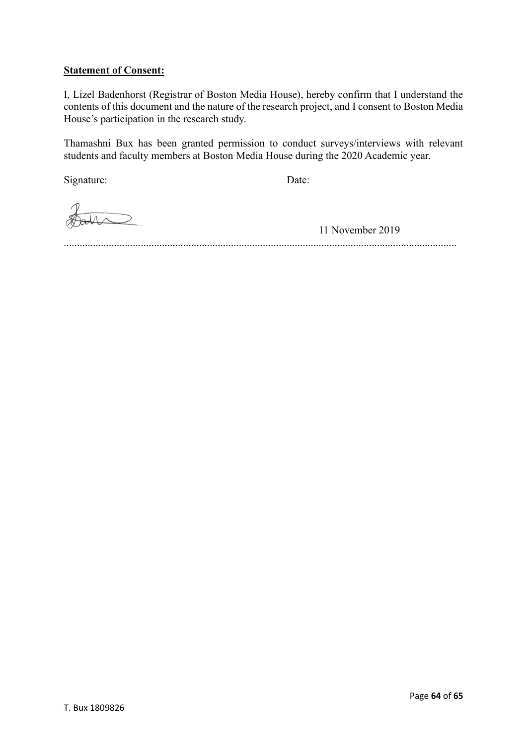### **Statement of Consent:**

I, Lizel Badenhorst (Registrar of Boston Media House), hereby confirm that I understand the contents of this document and the nature of the research project, and I consent to Boston Media House's participation in the research study.

Thamashni Bux has been granted permission to conduct surveys/interviews with relevant students and faculty members at Boston Media House during the 2020 Academic year.

Signature: Date:

11 November 2019

....................................................................................................................................................